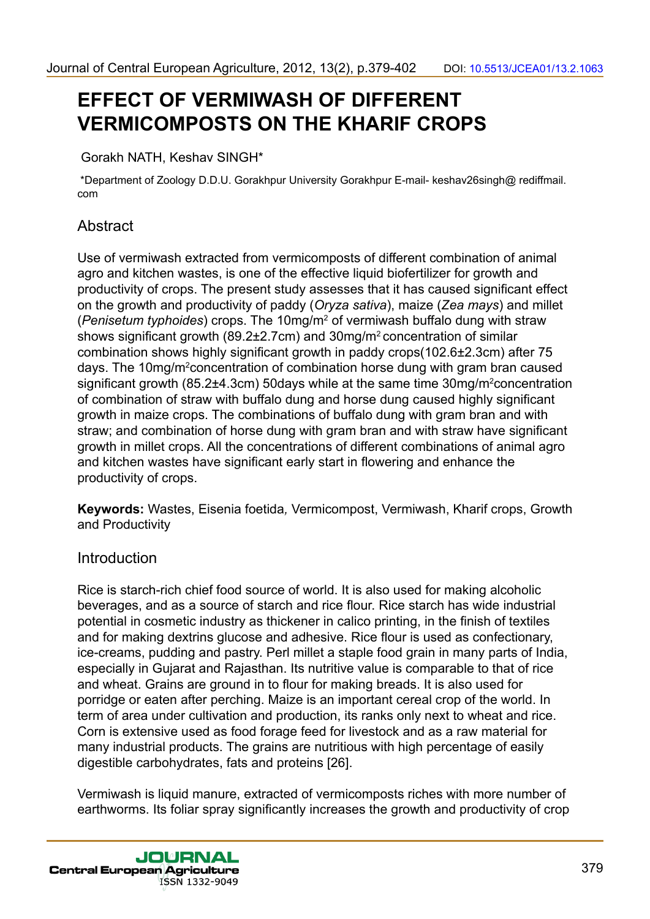# **EFFECT OF VERMIWASH OF DIFFERENT VERMICOMPOSTS ON THE KHARIF CROPS**

Gorakh NATH, Keshav SINGH\*

 \*Department of Zoology D.D.U. Gorakhpur University Gorakhpur E-mail- keshav26singh@ rediffmail. com

# **Abstract**

Use of vermiwash extracted from vermicomposts of different combination of animal agro and kitchen wastes, is one of the effective liquid biofertilizer for growth and productivity of crops. The present study assesses that it has caused significant effect on the growth and productivity of paddy (*Oryza sativa*), maize (*Zea mays*) and millet (*Penisetum typhoides*) crops. The 10mg/m2 of vermiwash buffalo dung with straw shows significant growth (89.2±2.7cm) and 30mg/m2 concentration of similar combination shows highly significant growth in paddy crops(102.6±2.3cm) after 75 days. The 10mg/m<sup>2</sup>concentration of combination horse dung with gram bran caused significant growth (85.2±4.3cm) 50days while at the same time 30mg/m<sup>2</sup>concentration of combination of straw with buffalo dung and horse dung caused highly significant growth in maize crops. The combinations of buffalo dung with gram bran and with straw; and combination of horse dung with gram bran and with straw have significant growth in millet crops. All the concentrations of different combinations of animal agro and kitchen wastes have significant early start in flowering and enhance the productivity of crops.

**Keywords:** Wastes, Eisenia foetida*,* Vermicompost, Vermiwash, Kharif crops, Growth and Productivity

### **Introduction**

Rice is starch-rich chief food source of world. It is also used for making alcoholic beverages, and as a source of starch and rice flour. Rice starch has wide industrial potential in cosmetic industry as thickener in calico printing, in the finish of textiles and for making dextrins glucose and adhesive. Rice flour is used as confectionary, ice-creams, pudding and pastry. Perl millet a staple food grain in many parts of India, especially in Gujarat and Rajasthan. Its nutritive value is comparable to that of rice and wheat. Grains are ground in to flour for making breads. It is also used for porridge or eaten after perching. Maize is an important cereal crop of the world. In term of area under cultivation and production, its ranks only next to wheat and rice. Corn is extensive used as food forage feed for livestock and as a raw material for many industrial products. The grains are nutritious with high percentage of easily digestible carbohydrates, fats and proteins [26].

Vermiwash is liquid manure, extracted of vermicomposts riches with more number of earthworms. Its foliar spray significantly increases the growth and productivity of crop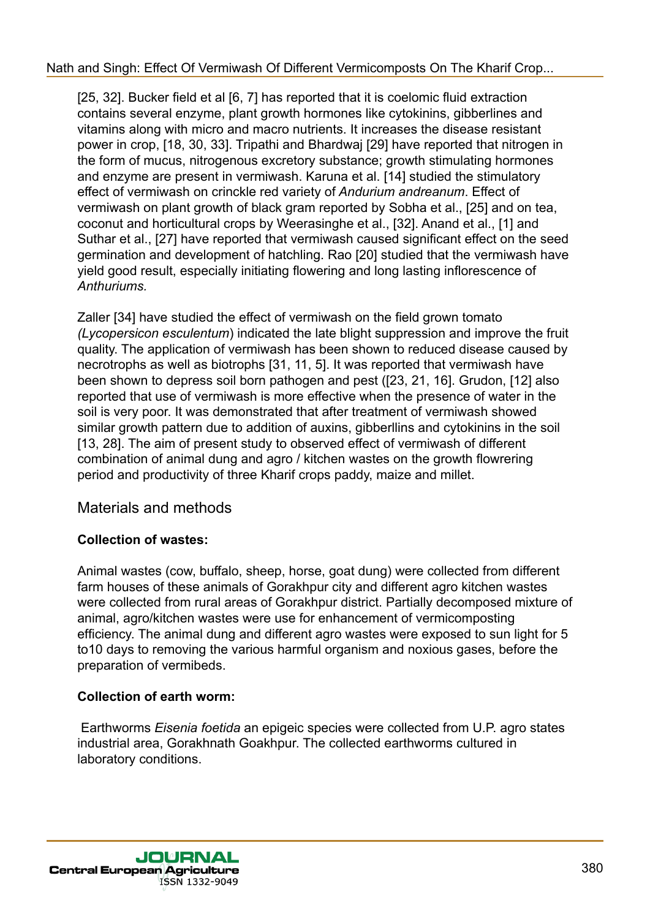[25, 32]. Bucker field et al [6, 7] has reported that it is coelomic fluid extraction contains several enzyme, plant growth hormones like cytokinins, gibberlines and vitamins along with micro and macro nutrients. It increases the disease resistant power in crop, [18, 30, 33]. Tripathi and Bhardwaj [29] have reported that nitrogen in the form of mucus, nitrogenous excretory substance; growth stimulating hormones and enzyme are present in vermiwash. Karuna et al. [14] studied the stimulatory effect of vermiwash on crinckle red variety of *Andurium andreanum*. Effect of vermiwash on plant growth of black gram reported by Sobha et al., [25] and on tea, coconut and horticultural crops by Weerasinghe et al., [32]. Anand et al., [1] and Suthar et al., [27] have reported that vermiwash caused significant effect on the seed germination and development of hatchling. Rao [20] studied that the vermiwash have yield good result, especially initiating flowering and long lasting inflorescence of *Anthuriums.*

Zaller [34] have studied the effect of vermiwash on the field grown tomato *(Lycopersicon esculentum*) indicated the late blight suppression and improve the fruit quality. The application of vermiwash has been shown to reduced disease caused by necrotrophs as well as biotrophs [31, 11, 5]. It was reported that vermiwash have been shown to depress soil born pathogen and pest ([23, 21, 16]. Grudon, [12] also reported that use of vermiwash is more effective when the presence of water in the soil is very poor. It was demonstrated that after treatment of vermiwash showed similar growth pattern due to addition of auxins, gibberllins and cytokinins in the soil [13, 28]. The aim of present study to observed effect of vermiwash of different combination of animal dung and agro / kitchen wastes on the growth flowrering period and productivity of three Kharif crops paddy, maize and millet.

# Materials and methods

### **Collection of wastes:**

Animal wastes (cow, buffalo, sheep, horse, goat dung) were collected from different farm houses of these animals of Gorakhpur city and different agro kitchen wastes were collected from rural areas of Gorakhpur district. Partially decomposed mixture of animal, agro/kitchen wastes were use for enhancement of vermicomposting efficiency. The animal dung and different agro wastes were exposed to sun light for 5 to10 days to removing the various harmful organism and noxious gases, before the preparation of vermibeds.

#### **Collection of earth worm:**

 Earthworms *Eisenia foetida* an epigeic species were collected from U.P. agro states industrial area, Gorakhnath Goakhpur. The collected earthworms cultured in laboratory conditions.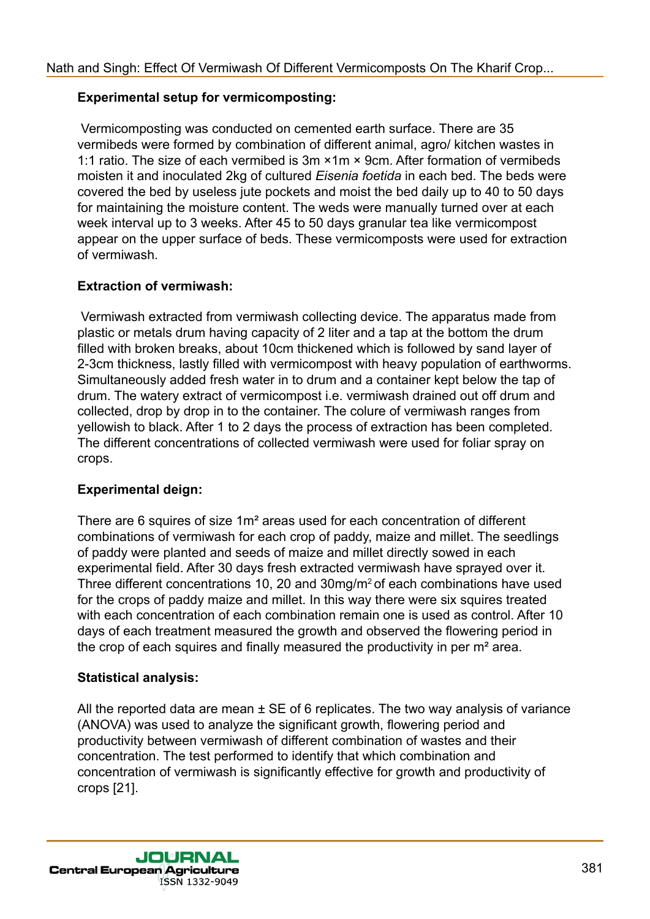#### **Experimental setup for vermicomposting:**

 Vermicomposting was conducted on cemented earth surface. There are 35 vermibeds were formed by combination of different animal, agro/ kitchen wastes in 1:1 ratio. The size of each vermibed is 3m ×1m × 9cm. After formation of vermibeds moisten it and inoculated 2kg of cultured *Eisenia foetida* in each bed. The beds were covered the bed by useless jute pockets and moist the bed daily up to 40 to 50 days for maintaining the moisture content. The weds were manually turned over at each week interval up to 3 weeks. After 45 to 50 days granular tea like vermicompost appear on the upper surface of beds. These vermicomposts were used for extraction of vermiwash.

### **Extraction of vermiwash:**

 Vermiwash extracted from vermiwash collecting device. The apparatus made from plastic or metals drum having capacity of 2 liter and a tap at the bottom the drum filled with broken breaks, about 10cm thickened which is followed by sand layer of 2-3cm thickness, lastly filled with vermicompost with heavy population of earthworms. Simultaneously added fresh water in to drum and a container kept below the tap of drum. The watery extract of vermicompost i.e. vermiwash drained out off drum and collected, drop by drop in to the container. The colure of vermiwash ranges from yellowish to black. After 1 to 2 days the process of extraction has been completed. The different concentrations of collected vermiwash were used for foliar spray on crops.

#### **Experimental deign:**

There are 6 squires of size 1m² areas used for each concentration of different combinations of vermiwash for each crop of paddy, maize and millet. The seedlings of paddy were planted and seeds of maize and millet directly sowed in each experimental field. After 30 days fresh extracted vermiwash have sprayed over it. Three different concentrations 10, 20 and 30mg/m2 of each combinations have used for the crops of paddy maize and millet. In this way there were six squires treated with each concentration of each combination remain one is used as control. After 10 days of each treatment measured the growth and observed the flowering period in the crop of each squires and finally measured the productivity in per m² area.

#### **Statistical analysis:**

All the reported data are mean  $\pm$  SE of 6 replicates. The two way analysis of variance (ANOVA) was used to analyze the significant growth, flowering period and productivity between vermiwash of different combination of wastes and their concentration. The test performed to identify that which combination and concentration of vermiwash is significantly effective for growth and productivity of crops [21].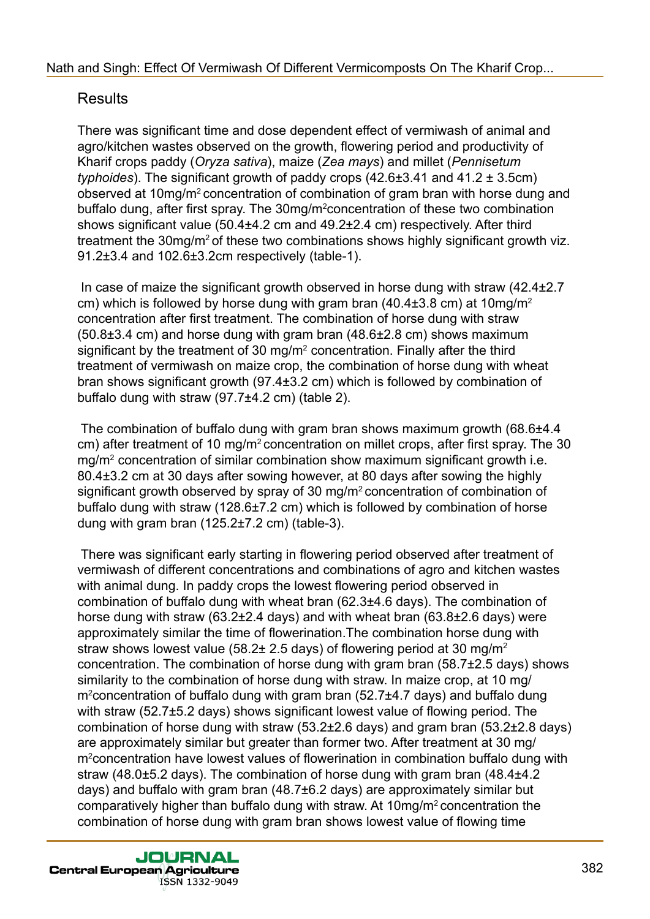# Results

There was significant time and dose dependent effect of vermiwash of animal and agro/kitchen wastes observed on the growth, flowering period and productivity of Kharif crops paddy (*Oryza sativa*), maize (*Zea mays*) and millet (*Pennisetum typhoides*). The significant growth of paddy crops (42.6±3.41 and 41.2 ± 3.5cm) observed at 10mg/m2 concentration of combination of gram bran with horse dung and buffalo dung, after first spray. The 30mg/m<sup>2</sup>concentration of these two combination shows significant value (50.4±4.2 cm and 49.2±2.4 cm) respectively. After third treatment the 30mg/m<sup>2</sup> of these two combinations shows highly significant growth viz. 91.2±3.4 and 102.6±3.2cm respectively (table-1).

 In case of maize the significant growth observed in horse dung with straw (42.4±2.7 cm) which is followed by horse dung with gram bran  $(40.4\pm3.8 \text{ cm})$  at  $10 \text{mg/m}^2$ concentration after first treatment. The combination of horse dung with straw (50.8±3.4 cm) and horse dung with gram bran (48.6±2.8 cm) shows maximum significant by the treatment of 30 mg/m<sup>2</sup> concentration. Finally after the third treatment of vermiwash on maize crop, the combination of horse dung with wheat bran shows significant growth (97.4±3.2 cm) which is followed by combination of buffalo dung with straw (97.7±4.2 cm) (table 2).

 The combination of buffalo dung with gram bran shows maximum growth (68.6±4.4 cm) after treatment of 10 mg/m2 concentration on millet crops, after first spray. The 30 mg/m2 concentration of similar combination show maximum significant growth i.e. 80.4±3.2 cm at 30 days after sowing however, at 80 days after sowing the highly significant growth observed by spray of 30 mg/m<sup>2</sup> concentration of combination of buffalo dung with straw (128.6±7.2 cm) which is followed by combination of horse dung with gram bran (125.2±7.2 cm) (table-3).

 There was significant early starting in flowering period observed after treatment of vermiwash of different concentrations and combinations of agro and kitchen wastes with animal dung. In paddy crops the lowest flowering period observed in combination of buffalo dung with wheat bran (62.3±4.6 days). The combination of horse dung with straw (63.2±2.4 days) and with wheat bran (63.8±2.6 days) were approximately similar the time of flowerination.The combination horse dung with straw shows lowest value (58.2 $\pm$  2.5 days) of flowering period at 30 mg/m<sup>2</sup> concentration. The combination of horse dung with gram bran (58.7±2.5 days) shows similarity to the combination of horse dung with straw. In maize crop, at 10 mg/ m<sup>2</sup>concentration of buffalo dung with gram bran (52.7±4.7 days) and buffalo dung with straw (52.7±5.2 days) shows significant lowest value of flowing period. The combination of horse dung with straw (53.2±2.6 days) and gram bran (53.2±2.8 days) are approximately similar but greater than former two. After treatment at 30 mg/ m<sup>2</sup> concentration have lowest values of flowerination in combination buffalo dung with straw (48.0±5.2 days). The combination of horse dung with gram bran (48.4±4.2 days) and buffalo with gram bran (48.7±6.2 days) are approximately similar but comparatively higher than buffalo dung with straw. At 10mg/m2 concentration the combination of horse dung with gram bran shows lowest value of flowing time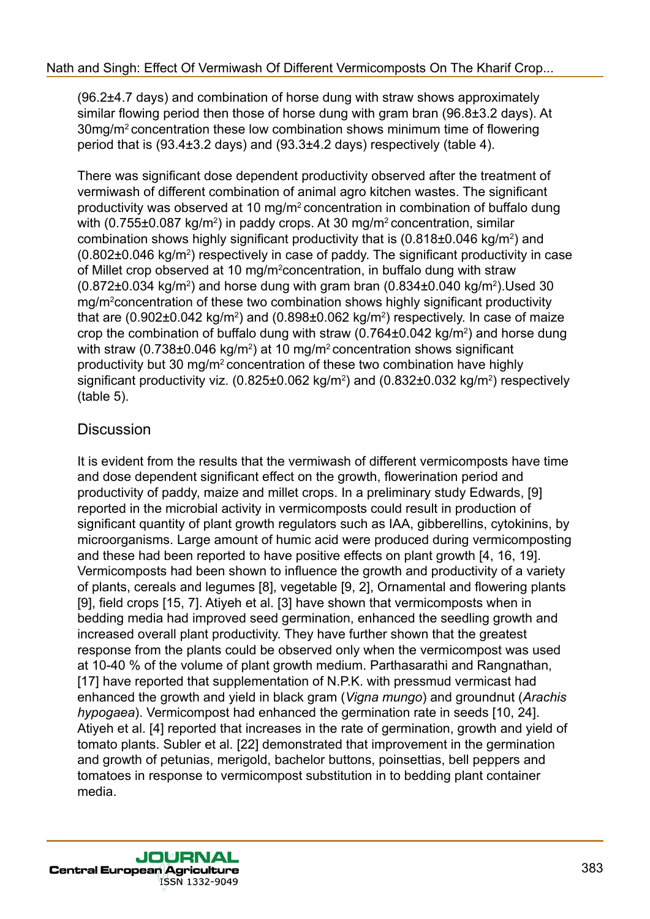(96.2±4.7 days) and combination of horse dung with straw shows approximately similar flowing period then those of horse dung with gram bran (96.8±3.2 days). At 30mg/m<sup>2</sup>concentration these low combination shows minimum time of flowering period that is (93.4±3.2 days) and (93.3±4.2 days) respectively (table 4).

There was significant dose dependent productivity observed after the treatment of vermiwash of different combination of animal agro kitchen wastes. The significant productivity was observed at 10 mg/m2 concentration in combination of buffalo dung with (0.755±0.087 kg/m<sup>2</sup>) in paddy crops. At 30 mg/m<sup>2</sup> concentration, similar combination shows highly significant productivity that is  $(0.818\pm0.046 \text{ kg/m}^2)$  and  $(0.802\pm0.046 \text{ kg/m}^2)$  respectively in case of paddy. The significant productivity in case of Millet crop observed at 10 mg/m<sup>2</sup>concentration, in buffalo dung with straw  $(0.872 \pm 0.034 \text{ kg/m}^2)$  and horse dung with gram bran  $(0.834 \pm 0.040 \text{ kg/m}^2)$ . Used 30 mg/m<sup>2</sup>concentration of these two combination shows highly significant productivity that are (0.902 $\pm$ 0.042 kg/m<sup>2</sup>) and (0.898 $\pm$ 0.062 kg/m<sup>2</sup>) respectively. In case of maize crop the combination of buffalo dung with straw  $(0.764\pm0.042 \text{ kg/m}^2)$  and horse dung with straw (0.738 $\pm$ 0.046 kg/m<sup>2</sup>) at 10 mg/m<sup>2</sup> concentration shows significant productivity but 30 mg/m2 concentration of these two combination have highly significant productivity viz. (0.825±0.062 kg/m<sup>2</sup>) and (0.832±0.032 kg/m<sup>2</sup>) respectively (table 5).

# **Discussion**

It is evident from the results that the vermiwash of different vermicomposts have time and dose dependent significant effect on the growth, flowerination period and productivity of paddy, maize and millet crops. In a preliminary study Edwards, [9] reported in the microbial activity in vermicomposts could result in production of significant quantity of plant growth regulators such as IAA, gibberellins, cytokinins, by microorganisms. Large amount of humic acid were produced during vermicomposting and these had been reported to have positive effects on plant growth [4, 16, 19]. Vermicomposts had been shown to influence the growth and productivity of a variety of plants, cereals and legumes [8], vegetable [9, 2], Ornamental and flowering plants [9], field crops [15, 7]. Atiyeh et al. [3] have shown that vermicomposts when in bedding media had improved seed germination, enhanced the seedling growth and increased overall plant productivity. They have further shown that the greatest response from the plants could be observed only when the vermicompost was used at 10-40 % of the volume of plant growth medium. Parthasarathi and Rangnathan, [17] have reported that supplementation of N.P.K. with pressmud vermicast had enhanced the growth and yield in black gram (*Vigna mungo*) and groundnut (*Arachis hypogaea*). Vermicompost had enhanced the germination rate in seeds [10, 24]. Atiyeh et al. [4] reported that increases in the rate of germination, growth and yield of tomato plants. Subler et al. [22] demonstrated that improvement in the germination and growth of petunias, merigold, bachelor buttons, poinsettias, bell peppers and tomatoes in response to vermicompost substitution in to bedding plant container media.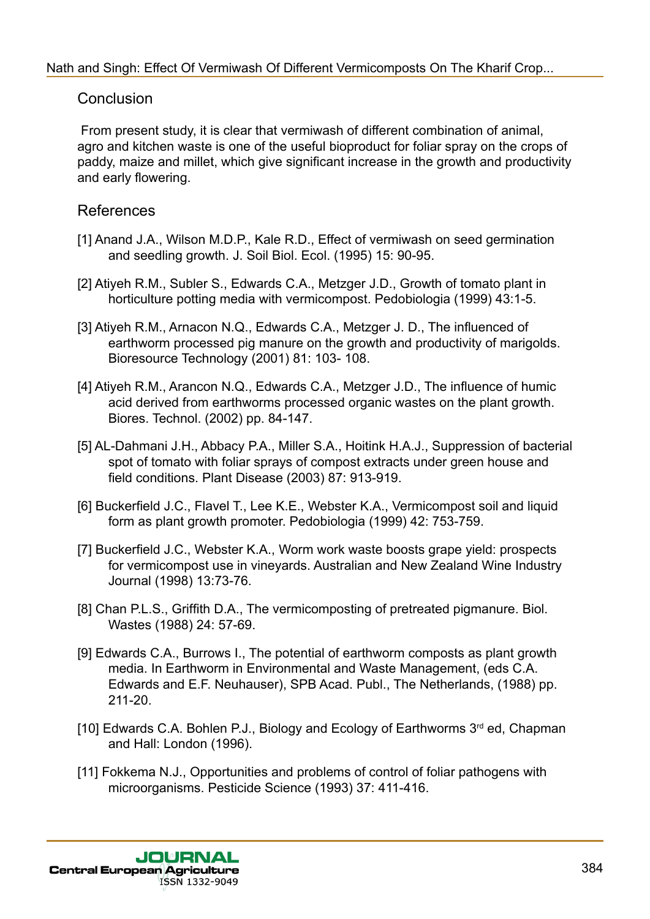### **Conclusion**

 From present study, it is clear that vermiwash of different combination of animal, agro and kitchen waste is one of the useful bioproduct for foliar spray on the crops of paddy, maize and millet, which give significant increase in the growth and productivity and early flowering.

### References

- [1] Anand J.A., Wilson M.D.P., Kale R.D., Effect of vermiwash on seed germination and seedling growth. J. Soil Biol. Ecol. (1995) 15: 90-95.
- [2] Atiyeh R.M., Subler S., Edwards C.A., Metzger J.D., Growth of tomato plant in horticulture potting media with vermicompost. Pedobiologia (1999) 43:1-5.
- [3] Atiyeh R.M., Arnacon N.Q., Edwards C.A., Metzger J. D., The influenced of earthworm processed pig manure on the growth and productivity of marigolds. Bioresource Technology (2001) 81: 103- 108.
- [4] Atiyeh R.M., Arancon N.Q., Edwards C.A., Metzger J.D., The influence of humic acid derived from earthworms processed organic wastes on the plant growth. Biores. Technol. (2002) pp. 84-147.
- [5] AL-Dahmani J.H., Abbacy P.A., Miller S.A., Hoitink H.A.J., Suppression of bacterial spot of tomato with foliar sprays of compost extracts under green house and field conditions. Plant Disease (2003) 87: 913-919.
- [6] Buckerfield J.C., Flavel T., Lee K.E., Webster K.A., Vermicompost soil and liquid form as plant growth promoter. Pedobiologia (1999) 42: 753-759.
- [7] Buckerfield J.C., Webster K.A., Worm work waste boosts grape yield: prospects for vermicompost use in vineyards. Australian and New Zealand Wine Industry Journal (1998) 13:73-76.
- [8] Chan P.L.S., Griffith D.A., The vermicomposting of pretreated pigmanure. Biol. Wastes (1988) 24: 57-69.
- [9] Edwards C.A., Burrows I., The potential of earthworm composts as plant growth media. In Earthworm in Environmental and Waste Management, (eds C.A. Edwards and E.F. Neuhauser), SPB Acad. Publ., The Netherlands, (1988) pp. 211-20.
- [10] Edwards C.A. Bohlen P.J., Biology and Ecology of Earthworms  $3<sup>rd</sup>$  ed, Chapman and Hall: London (1996).
- [11] Fokkema N.J., Opportunities and problems of control of foliar pathogens with microorganisms. Pesticide Science (1993) 37: 411-416.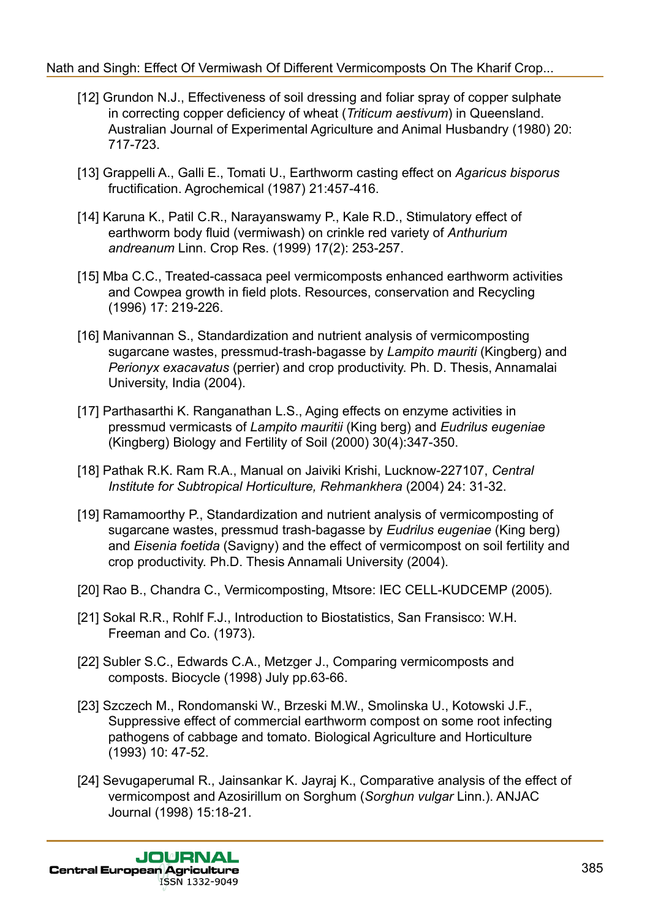- [12] Grundon N.J., Effectiveness of soil dressing and foliar spray of copper sulphate in correcting copper deficiency of wheat (*Triticum aestivum*) in Queensland. Australian Journal of Experimental Agriculture and Animal Husbandry (1980) 20: 717-723.
- [13] Grappelli A., Galli E., Tomati U., Earthworm casting effect on *Agaricus bisporus* fructification. Agrochemical (1987) 21:457-416.
- [14] Karuna K., Patil C.R., Narayanswamy P., Kale R.D., Stimulatory effect of earthworm body fluid (vermiwash) on crinkle red variety of *Anthurium andreanum* Linn. Crop Res. (1999) 17(2): 253-257.
- [15] Mba C.C., Treated-cassaca peel vermicomposts enhanced earthworm activities and Cowpea growth in field plots. Resources, conservation and Recycling (1996) 17: 219-226.
- [16] Manivannan S., Standardization and nutrient analysis of vermicomposting sugarcane wastes, pressmud-trash-bagasse by *Lampito mauriti* (Kingberg) and *Perionyx exacavatus* (perrier) and crop productivity. Ph. D. Thesis, Annamalai University, India (2004).
- [17] Parthasarthi K. Ranganathan L.S., Aging effects on enzyme activities in pressmud vermicasts of *Lampito mauritii* (King berg) and *Eudrilus eugeniae* (Kingberg) Biology and Fertility of Soil (2000) 30(4):347-350.
- [18] Pathak R.K. Ram R.A., Manual on Jaiviki Krishi, Lucknow-227107, *Central Institute for Subtropical Horticulture, Rehmankhera* (2004) 24: 31-32.
- [19] Ramamoorthy P., Standardization and nutrient analysis of vermicomposting of sugarcane wastes, pressmud trash-bagasse by *Eudrilus eugeniae* (King berg) and *Eisenia foetida* (Savigny) and the effect of vermicompost on soil fertility and crop productivity. Ph.D. Thesis Annamali University (2004).
- [20] Rao B., Chandra C., Vermicomposting, Mtsore: IEC CELL-KUDCEMP (2005)*.*
- [21] Sokal R.R., Rohlf F.J., Introduction to Biostatistics, San Fransisco: W.H. Freeman and Co. (1973).
- [22] Subler S.C., Edwards C.A., Metzger J., Comparing vermicomposts and composts. Biocycle (1998) July pp.63-66.
- [23] Szczech M., Rondomanski W., Brzeski M.W., Smolinska U., Kotowski J.F., Suppressive effect of commercial earthworm compost on some root infecting pathogens of cabbage and tomato. Biological Agriculture and Horticulture (1993) 10: 47-52.
- [24] Sevugaperumal R., Jainsankar K. Jayraj K., Comparative analysis of the effect of vermicompost and Azosirillum on Sorghum (*Sorghun vulgar* Linn.). ANJAC Journal (1998) 15:18-21.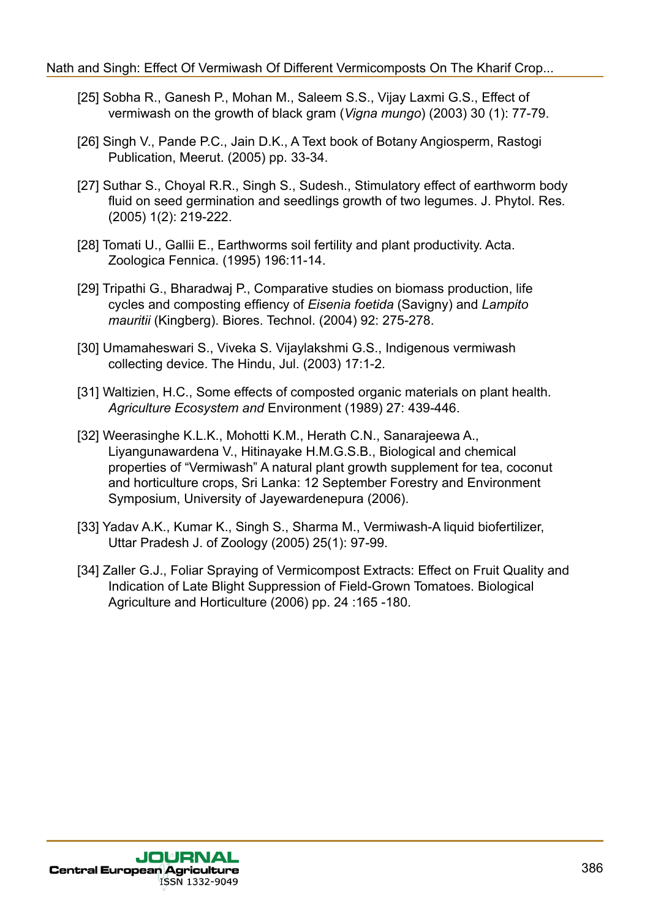- [25] Sobha R., Ganesh P., Mohan M., Saleem S.S., Vijay Laxmi G.S., Effect of vermiwash on the growth of black gram (*Vigna mungo*) (2003) 30 (1): 77-79.
- [26] Singh V., Pande P.C., Jain D.K., A Text book of Botany Angiosperm, Rastogi Publication, Meerut. (2005) pp. 33-34.
- [27] Suthar S., Choyal R.R., Singh S., Sudesh., Stimulatory effect of earthworm body fluid on seed germination and seedlings growth of two legumes. J. Phytol. Res*.* (2005) 1(2): 219-222.
- [28] Tomati U., Gallii E., Earthworms soil fertility and plant productivity. Acta. Zoologica Fennica. (1995) 196:11-14.
- [29] Tripathi G., Bharadwaj P., Comparative studies on biomass production, life cycles and composting effiency of *Eisenia foetida* (Savigny) and *Lampito mauritii* (Kingberg). Biores. Technol. (2004) 92: 275-278.
- [30] Umamaheswari S., Viveka S. Vijaylakshmi G.S., Indigenous vermiwash collecting device. The Hindu, Jul. (2003) 17:1-2.
- [31] Waltizien, H.C., Some effects of composted organic materials on plant health. *Agriculture Ecosystem and* Environment (1989) 27: 439-446.
- [32] Weerasinghe K.L.K., Mohotti K.M., Herath C.N., Sanarajeewa A., Liyangunawardena V., Hitinayake H.M.G.S.B., Biological and chemical properties of "Vermiwash" A natural plant growth supplement for tea, coconut and horticulture crops, Sri Lanka: 12 September Forestry and Environment Symposium, University of Jayewardenepura (2006).
- [33] Yadav A.K., Kumar K., Singh S., Sharma M., Vermiwash-A liquid biofertilizer, Uttar Pradesh J. of Zoology (2005) 25(1): 97-99.
- [34] Zaller G.J., Foliar Spraying of Vermicompost Extracts: Effect on Fruit Quality and Indication of Late Blight Suppression of Field-Grown Tomatoes. Biological Agriculture and Horticulture (2006) pp. 24 :165 -180.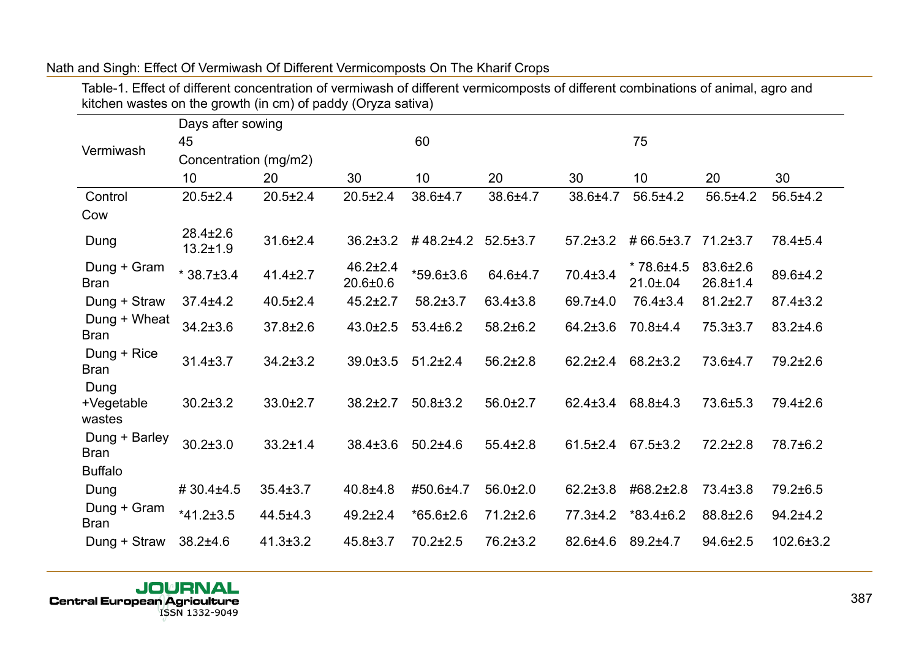|                              | Days after sowing                |                |                                |                 |                |                |                                   |                            |                |
|------------------------------|----------------------------------|----------------|--------------------------------|-----------------|----------------|----------------|-----------------------------------|----------------------------|----------------|
| Vermiwash                    | 45                               |                |                                | 60              |                |                | 75                                |                            |                |
|                              | Concentration (mg/m2)            |                |                                |                 |                |                |                                   |                            |                |
|                              | 10                               | 20             | 30                             | 10              | 20             | 30             | 10                                | 20                         | 30             |
| Control                      | $20.5 \pm 2.4$                   | $20.5 \pm 2.4$ | $20.5 \pm 2.4$                 | 38.6±4.7        | 38.6±4.7       | 38.6±4.7       | $56.5 \pm 4.2$                    | $56.5 \pm 4.2$             | $56.5 \pm 4.2$ |
| Cow                          |                                  |                |                                |                 |                |                |                                   |                            |                |
| Dung                         | $28.4 \pm 2.6$<br>$13.2 \pm 1.9$ | $31.6 \pm 2.4$ | $36.2 \pm 3.2$                 | #48.2±4.2       | $52.5 \pm 3.7$ | $57.2 \pm 3.2$ | #66.5±3.7                         | $71.2 \pm 3.7$             | 78.4±5.4       |
| Dung + Gram<br><b>Bran</b>   | $*38.7 \pm 3.4$                  | $41.4 \pm 2.7$ | $46.2 \pm 2.4$<br>$20.6 + 0.6$ | $*59.6 \pm 3.6$ | 64.6±4.7       | $70.4 \pm 3.4$ | $*78.6{\pm}4.5$<br>$21.0 \pm .04$ | 83.6±2.6<br>$26.8 \pm 1.4$ | 89.6±4.2       |
| Dung + Straw                 | $37.4 \pm 4.2$                   | $40.5 \pm 2.4$ | $45.2 \pm 2.7$                 | $58.2 \pm 3.7$  | $63.4 \pm 3.8$ | 69.7±4.0       | 76.4±3.4                          | $81.2 \pm 2.7$             | $87.4 \pm 3.2$ |
| Dung + Wheat<br><b>Bran</b>  | $34.2 \pm 3.6$                   | $37.8 \pm 2.6$ | $43.0 \pm 2.5$                 | $53.4 \pm 6.2$  | $58.2 \pm 6.2$ | $64.2 \pm 3.6$ | 70.8±4.4                          | $75.3 \pm 3.7$             | $83.2{\pm}4.6$ |
| Dung + Rice<br><b>Bran</b>   | $31.4 \pm 3.7$                   | $34.2 \pm 3.2$ | $39.0 + 3.5$                   | $51.2 \pm 2.4$  | $56.2 \pm 2.8$ | $62.2 \pm 2.4$ | 68.2±3.2                          | 73.6±4.7                   | 79.2±2.6       |
| Dung<br>+Vegetable<br>wastes | $30.2 \pm 3.2$                   | $33.0 \pm 2.7$ | $38.2 \pm 2.7$                 | $50.8 \pm 3.2$  | $56.0 \pm 2.7$ | $62.4 \pm 3.4$ | 68.8±4.3                          | 73.6±5.3                   | $79.4 \pm 2.6$ |
| Dung + Barley<br><b>Bran</b> | $30.2 \pm 3.0$                   | $33.2 \pm 1.4$ | $38.4 \pm 3.6$                 | $50.2 + 4.6$    | $55.4 \pm 2.8$ | $61.5 \pm 2.4$ | $67.5 \pm 3.2$                    | $72.2 \pm 2.8$             | 78.7±6.2       |
| <b>Buffalo</b>               |                                  |                |                                |                 |                |                |                                   |                            |                |
| Dung                         | #30.4±4.5                        | $35.4 \pm 3.7$ | $40.8 + 4.8$                   | #50.6±4.7       | $56.0 \pm 2.0$ | $62.2 \pm 3.8$ | #68.2±2.8                         | 73.4±3.8                   | 79.2±6.5       |
| Dung + Gram<br><b>Bran</b>   | $*41.2 \pm 3.5$                  | $44.5 \pm 4.3$ | $49.2 \pm 2.4$                 | $*65.6 \pm 2.6$ | $71.2 \pm 2.6$ | $77.3 + 4.2$   | $*83.4 \pm 6.2$                   | $88.8 \pm 2.6$             | $94.2 + 4.2$   |
| Dung + Straw                 | $38.2{\pm}4.6$                   | $41.3 \pm 3.2$ | $45.8 \pm 3.7$                 | $70.2 \pm 2.5$  | $76.2 \pm 3.2$ | $82.6 + 4.6$   | $89.2 \pm 4.7$                    | $94.6 \pm 2.5$             | 102.6±3.2      |

Table-1. Effect of different concentration of vermiwash of different vermicomposts of different combinations of animal, agro and kitchen wastes on the growth (in cm) of paddy (Oryza sativa)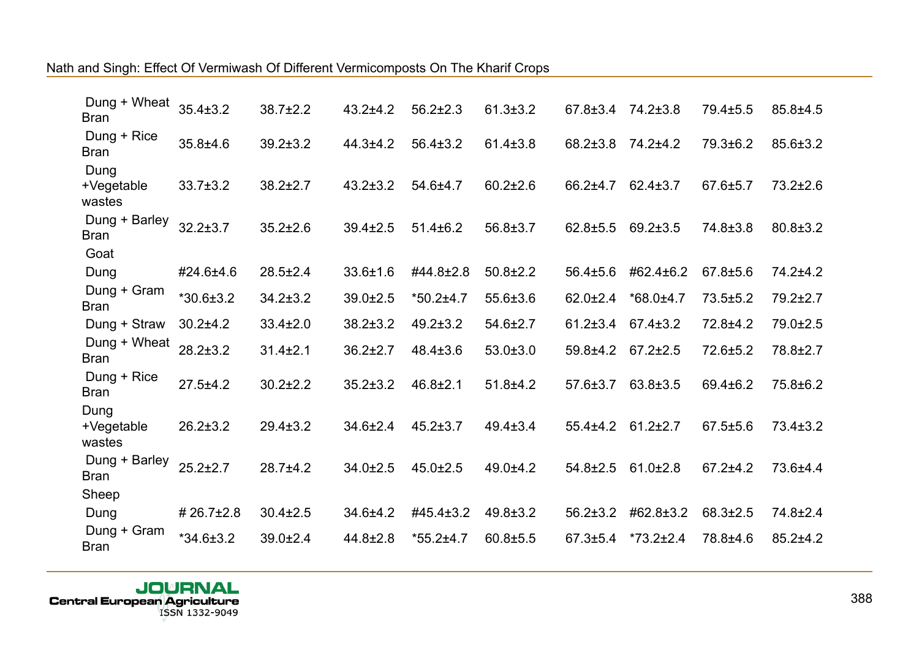| Dung + Wheat<br><b>Bran</b>          | $35.4 \pm 3.2$  | 38.7±2.2       | $43.2 + 4.2$   | $56.2 \pm 2.3$  | $61.3 \pm 3.2$ | $67.8 \pm 3.4$ $74.2 \pm 3.8$ |                 | 79.4±5.5       | $85.8 \pm 4.5$ |
|--------------------------------------|-----------------|----------------|----------------|-----------------|----------------|-------------------------------|-----------------|----------------|----------------|
| Dung + Rice<br><b>Bran</b>           | 35.8±4.6        | $39.2 \pm 3.2$ | $44.3 + 4.2$   | $56.4 \pm 3.2$  | $61.4 \pm 3.8$ | $68.2 \pm 3.8$                | 74.2±4.2        | 79.3±6.2       | 85.6±3.2       |
| Dung<br>+Vegetable<br>wastes         | $33.7 \pm 3.2$  | $38.2 \pm 2.7$ | $43.2 \pm 3.2$ | 54.6±4.7        | $60.2{\pm}2.6$ | 66.2±4.7                      | $62.4 \pm 3.7$  | 67.6±5.7       | $73.2 \pm 2.6$ |
| Dung + Barley<br><b>Bran</b><br>Goat | $32.2 \pm 3.7$  | $35.2 \pm 2.6$ | $39.4 \pm 2.5$ | $51.4 \pm 6.2$  | $56.8 \pm 3.7$ | $62.8 + 5.5$                  | $69.2 \pm 3.5$  | 74.8±3.8       | $80.8 \pm 3.2$ |
| Dung                                 | #24.6±4.6       | $28.5 \pm 2.4$ | 33.6±1.6       | #44.8±2.8       | $50.8 \pm 2.2$ | 56.4±5.6                      | #62.4±6.2       | 67.8±5.6       | 74.2±4.2       |
| Dung + Gram<br><b>Bran</b>           | $*30.6 \pm 3.2$ | $34.2 \pm 3.2$ | 39.0±2.5       | $*50.2 \pm 4.7$ | $55.6 \pm 3.6$ | $62.0 \pm 2.4$                | $*68.0 \pm 4.7$ | $73.5 + 5.2$   | 79.2±2.7       |
| Dung + Straw                         | $30.2 + 4.2$    | $33.4 \pm 2.0$ | $38.2 \pm 3.2$ | $49.2 \pm 3.2$  | 54.6±2.7       | $61.2 \pm 3.4$                | $67.4 \pm 3.2$  | 72.8±4.2       | 79.0±2.5       |
| Dung + Wheat<br><b>Bran</b>          | $28.2 \pm 3.2$  | $31.4 \pm 2.1$ | $36.2 \pm 2.7$ | $48.4 \pm 3.6$  | $53.0 \pm 3.0$ | 59.8±4.2                      | $67.2 \pm 2.5$  | 72.6±5.2       | 78.8±2.7       |
| Dung + Rice<br><b>Bran</b>           | $27.5 + 4.2$    | $30.2{\pm}2.2$ | $35.2 \pm 3.2$ | $46.8 \pm 2.1$  | $51.8 + 4.2$   | $57.6 \pm 3.7$                | $63.8 \pm 3.5$  | 69.4±6.2       | 75.8±6.2       |
| Dung<br>+Vegetable<br>wastes         | $26.2 \pm 3.2$  | $29.4 \pm 3.2$ | $34.6 \pm 2.4$ | $45.2 \pm 3.7$  | $49.4 \pm 3.4$ | $55.4+4.2$                    | $61.2 \pm 2.7$  | $67.5 \pm 5.6$ | $73.4 \pm 3.2$ |
| Dung + Barley<br><b>Bran</b>         | $25.2 \pm 2.7$  | $28.7 + 4.2$   | $34.0 \pm 2.5$ | $45.0 \pm 2.5$  | $49.0 + 4.2$   | $54.8 \pm 2.5$                | $61.0 \pm 2.8$  | $67.2 + 4.2$   | 73.6±4.4       |
| Sheep                                |                 |                |                |                 |                |                               |                 |                |                |
| Dung                                 | #26.7±2.8       | $30.4 \pm 2.5$ | 34.6±4.2       | #45.4±3.2       | $49.8 \pm 3.2$ | $56.2 \pm 3.2$                | #62.8±3.2       | 68.3±2.5       | 74.8±2.4       |
| Dung + Gram<br><b>Bran</b>           | $*34.6 \pm 3.2$ | 39.0±2.4       | 44.8±2.8       | $*55.2 \pm 4.7$ | $60.8 + 5.5$   | $67.3 \pm 5.4$                | $*73.2 \pm 2.4$ | 78.8±4.6       | $85.2 + 4.2$   |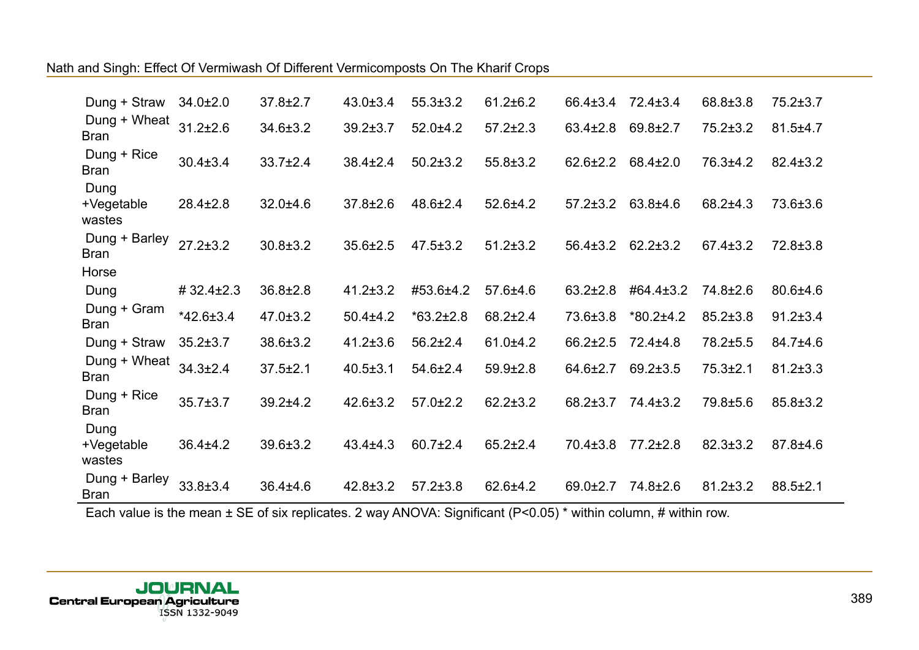| Dung + Straw                 | $34.0 \pm 2.0$  | $37.8 \pm 2.7$ | $43.0 \pm 3.4$ | $55.3 \pm 3.2$  | $61.2 \pm 6.2$ | 66.4±3.4       | $72.4 \pm 3.4$  | 68.8±3.8       | $75.2 \pm 3.7$ |
|------------------------------|-----------------|----------------|----------------|-----------------|----------------|----------------|-----------------|----------------|----------------|
| Dung + Wheat<br><b>Bran</b>  | $31.2 \pm 2.6$  | $34.6 \pm 3.2$ | $39.2 \pm 3.7$ | $52.0 + 4.2$    | $57.2 \pm 2.3$ | $63.4 \pm 2.8$ | $69.8 \pm 2.7$  | $75.2 \pm 3.2$ | $81.5 \pm 4.7$ |
| Dung + Rice<br><b>Bran</b>   | $30.4 \pm 3.4$  | $33.7 \pm 2.4$ | $38.4 \pm 2.4$ | $50.2 \pm 3.2$  | $55.8 \pm 3.2$ | $62.6 \pm 2.2$ | $68.4 \pm 2.0$  | 76.3±4.2       | $82.4 \pm 3.2$ |
| Dung<br>+Vegetable<br>wastes | $28.4 \pm 2.8$  | $32.0 + 4.6$   | $37.8 \pm 2.6$ | $48.6 \pm 2.4$  | $52.6 + 4.2$   | $57.2 \pm 3.2$ | $63.8 + 4.6$    | $68.2{\pm}4.3$ | 73.6±3.6       |
| Dung + Barley<br><b>Bran</b> | $27.2 \pm 3.2$  | $30.8 \pm 3.2$ | $35.6 \pm 2.5$ | $47.5 \pm 3.2$  | $51.2 \pm 3.2$ | $56.4 \pm 3.2$ | $62.2 \pm 3.2$  | $67.4 \pm 3.2$ | $72.8 \pm 3.8$ |
| Horse                        |                 |                |                |                 |                |                |                 |                |                |
| Dung                         | #32.4±2.3       | $36.8 \pm 2.8$ | $41.2 \pm 3.2$ | #53.6±4.2       | $57.6 + 4.6$   | $63.2 \pm 2.8$ | #64.4±3.2       | 74.8±2.6       | $80.6 + 4.6$   |
| Dung + Gram<br><b>Bran</b>   | $*42.6 \pm 3.4$ | $47.0 \pm 3.2$ | $50.4 + 4.2$   | $*63.2 \pm 2.8$ | $68.2 \pm 2.4$ | 73.6±3.8       | $*80.2 \pm 4.2$ | $85.2 \pm 3.8$ | $91.2 \pm 3.4$ |
| Dung + Straw                 | $35.2 \pm 3.7$  | $38.6 \pm 3.2$ | $41.2 \pm 3.6$ | $56.2 \pm 2.4$  | 61.0±4.2       | $66.2 \pm 2.5$ | $72.4 \pm 4.8$  | 78.2±5.5       | 84.7±4.6       |
| Dung + Wheat<br><b>Bran</b>  | $34.3 \pm 2.4$  | $37.5 \pm 2.1$ | $40.5 \pm 3.1$ | $54.6 \pm 2.4$  | $59.9 \pm 2.8$ | 64.6±2.7       | $69.2 \pm 3.5$  | $75.3 \pm 2.1$ | $81.2 \pm 3.3$ |
| Dung + Rice<br><b>Bran</b>   | $35.7 \pm 3.7$  | $39.2 \pm 4.2$ | $42.6 \pm 3.2$ | $57.0 \pm 2.2$  | $62.2 \pm 3.2$ | 68.2±3.7       | 74.4±3.2        | 79.8±5.6       | 85.8±3.2       |
| Dung<br>+Vegetable<br>wastes | $36.4 \pm 4.2$  | $39.6 \pm 3.2$ | $43.4 \pm 4.3$ | $60.7 \pm 2.4$  | $65.2 \pm 2.4$ | $70.4 \pm 3.8$ | 77.2±2.8        | $82.3 \pm 3.2$ | 87.8±4.6       |
| Dung + Barley<br><b>Bran</b> | 33.8±3.4        | $36.4 \pm 4.6$ | $42.8 \pm 3.2$ | $57.2 \pm 3.8$  | $62.6 \pm 4.2$ | $69.0 \pm 2.7$ | 74.8±2.6        | $81.2 \pm 3.2$ | $88.5 \pm 2.1$ |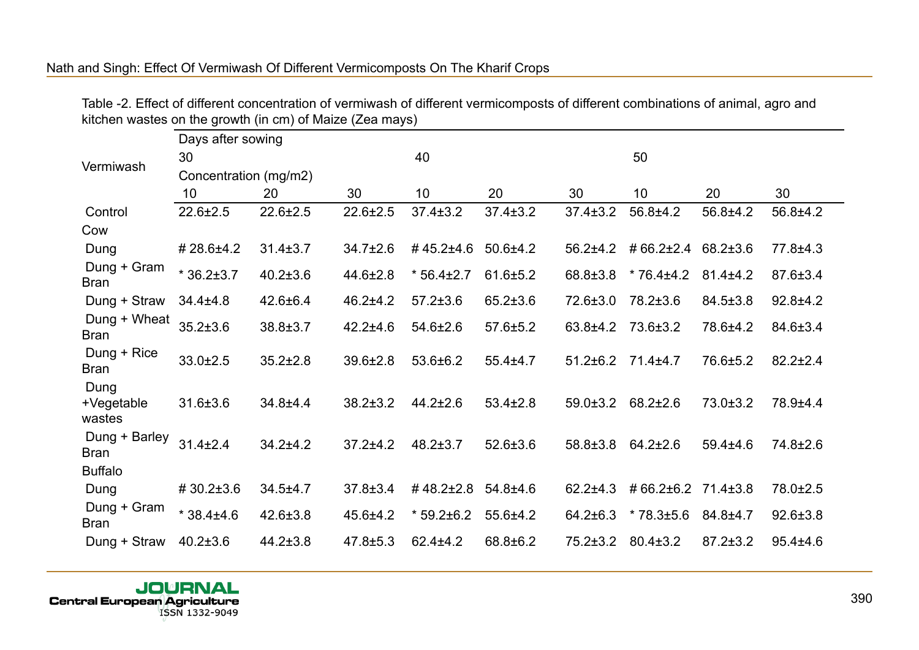Table -2. Effect of different concentration of vermiwash of different vermicomposts of different combinations of animal, agro and kitchen wastes on the growth (in cm) of Maize (Zea mays)

|                              | Days after sowing     |                |                |                 |                |                |                    |                |                |
|------------------------------|-----------------------|----------------|----------------|-----------------|----------------|----------------|--------------------|----------------|----------------|
| Vermiwash                    | 30                    |                |                | 40              |                |                | 50                 |                |                |
|                              | Concentration (mg/m2) |                |                |                 |                |                |                    |                |                |
|                              | 10 <sup>1</sup>       | 20             | 30             | 10              | 20             | 30             | 10                 | 20             | 30             |
| Control                      | $22.6 \pm 2.5$        | $22.6 \pm 2.5$ | $22.6 \pm 2.5$ | $37.4 \pm 3.2$  | $37.4 \pm 3.2$ | $37.4 \pm 3.2$ | 56.8±4.2           | 56.8±4.2       | 56.8±4.2       |
| Cow                          |                       |                |                |                 |                |                |                    |                |                |
| Dung                         | #28.6±4.2             | $31.4 \pm 3.7$ | $34.7 \pm 2.6$ | #45.2±4.6       | $50.6 + 4.2$   | $56.2 \pm 4.2$ | #66.2±2.4          | 68.2±3.6       | 77.8±4.3       |
| Dung + Gram<br><b>Bran</b>   | $*36.2 \pm 3.7$       | $40.2 \pm 3.6$ | $44.6 \pm 2.8$ | $*56.4 \pm 2.7$ | $61.6 \pm 5.2$ | 68.8±3.8       | $*76.4 \pm 4.2$    | $81.4 \pm 4.2$ | 87.6±3.4       |
| Dung + Straw                 | $34.4 \pm 4.8$        | $42.6 \pm 6.4$ | $46.2 + 4.2$   | $57.2 \pm 3.6$  | $65.2 \pm 3.6$ | 72.6±3.0       | 78.2±3.6           | $84.5 \pm 3.8$ | $92.8 + 4.2$   |
| Dung + Wheat<br><b>Bran</b>  | $35.2 \pm 3.6$        | 38.8±3.7       | $42.2 + 4.6$   | $54.6 \pm 2.6$  | $57.6 \pm 5.2$ | $63.8 + 4.2$   | $73.6 \pm 3.2$     | 78.6±4.2       | 84.6±3.4       |
| Dung + Rice<br><b>Bran</b>   | $33.0 \pm 2.5$        | $35.2 \pm 2.8$ | $39.6 \pm 2.8$ | $53.6 \pm 6.2$  | $55.4 \pm 4.7$ | $51.2 \pm 6.2$ | $71.4 \pm 4.7$     | 76.6±5.2       | $82.2 \pm 2.4$ |
| Dung<br>+Vegetable<br>wastes | $31.6 \pm 3.6$        | 34.8±4.4       | $38.2 \pm 3.2$ | $44.2 \pm 2.6$  | $53.4 \pm 2.8$ | $59.0 \pm 3.2$ | $68.2 \pm 2.6$     | $73.0 \pm 3.2$ | 78.9±4.4       |
| Dung + Barley<br>Bran        | $31.4 \pm 2.4$        | $34.2 + 4.2$   | $37.2 + 4.2$   | $48.2 \pm 3.7$  | $52.6 \pm 3.6$ | 58.8±3.8       | $64.2 \pm 2.6$     | $59.4 \pm 4.6$ | 74.8±2.6       |
| <b>Buffalo</b>               |                       |                |                |                 |                |                |                    |                |                |
| Dung                         | #30.2±3.6             | $34.5 + 4.7$   | $37.8 \pm 3.4$ | #48.2±2.8       | $54.8 + 4.6$   | $62.2 + 4.3$   | #66.2±6.2 71.4±3.8 |                | 78.0±2.5       |
| Dung + Gram<br><b>Bran</b>   | $*38.4{\pm}4.6$       | $42.6 \pm 3.8$ | $45.6 + 4.2$   | $*59.2 \pm 6.2$ | $55.6 \pm 4.2$ | $64.2 \pm 6.3$ | $*78.3 \pm 5.6$    | $84.8 \pm 4.7$ | $92.6 \pm 3.8$ |
| Dung + Straw                 | $40.2 \pm 3.6$        | $44.2 \pm 3.8$ | $47.8 \pm 5.3$ | $62.4 + 4.2$    | 68.8±6.2       | $75.2 \pm 3.2$ | $80.4 \pm 3.2$     | $87.2 \pm 3.2$ | $95.4 \pm 4.6$ |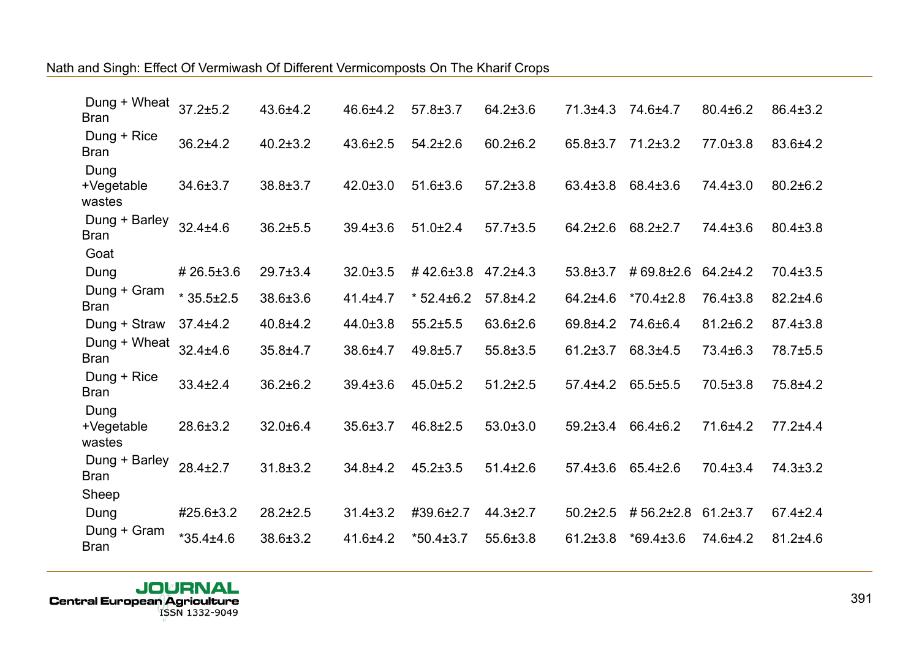| Dung + Wheat<br><b>Bran</b>          | $37.2 + 5.2$    | 43.6±4.2       | 46.6±4.2       | $57.8 \pm 3.7$  | $64.2 \pm 3.6$ | $71.3 \pm 4.3$ | 74.6±4.7        | $80.4 \pm 6.2$ | $86.4 \pm 3.2$ |
|--------------------------------------|-----------------|----------------|----------------|-----------------|----------------|----------------|-----------------|----------------|----------------|
| Dung + Rice<br><b>Bran</b>           | $36.2{\pm}4.2$  | $40.2 \pm 3.2$ | 43.6±2.5       | $54.2 \pm 2.6$  | $60.2 \pm 6.2$ | $65.8 \pm 3.7$ | $71.2 \pm 3.2$  | 77.0±3.8       | 83.6±4.2       |
| Dung<br>+Vegetable<br>wastes         | 34.6±3.7        | 38.8±3.7       | $42.0 \pm 3.0$ | $51.6 \pm 3.6$  | $57.2 \pm 3.8$ | $63.4 \pm 3.8$ | 68.4±3.6        | 74.4±3.0       | $80.2 \pm 6.2$ |
| Dung + Barley<br><b>Bran</b><br>Goat | $32.4 \pm 4.6$  | $36.2{\pm}5.5$ | $39.4 \pm 3.6$ | $51.0 \pm 2.4$  | $57.7 \pm 3.5$ | $64.2 \pm 2.6$ | $68.2 \pm 2.7$  | 74.4±3.6       | $80.4 \pm 3.8$ |
| Dung                                 | #26.5±3.6       | $29.7 \pm 3.4$ | $32.0 \pm 3.5$ | #42.6±3.8       | $47.2 + 4.3$   | $53.8 \pm 3.7$ | #69.8±2.6       | $64.2 + 4.2$   | 70.4±3.5       |
| Dung + Gram<br><b>Bran</b>           | $*35.5 \pm 2.5$ | 38.6±3.6       | $41.4 \pm 4.7$ | $*52.4\pm6.2$   | $57.8 + 4.2$   | 64.2±4.6       | $*70.4 \pm 2.8$ | 76.4±3.8       | $82.2 \pm 4.6$ |
| Dung + Straw                         | $37.4 \pm 4.2$  | $40.8 + 4.2$   | 44.0±3.8       | $55.2 \pm 5.5$  | 63.6±2.6       | 69.8±4.2       | 74.6±6.4        | $81.2 \pm 6.2$ | 87.4±3.8       |
| Dung + Wheat<br><b>Bran</b>          | $32.4 \pm 4.6$  | $35.8 + 4.7$   | 38.6±4.7       | $49.8 + 5.7$    | $55.8 \pm 3.5$ | $61.2 \pm 3.7$ | $68.3{\pm}4.5$  | 73.4±6.3       | 78.7±5.5       |
| Dung + Rice<br><b>Bran</b>           | $33.4 \pm 2.4$  | 36.2±6.2       | $39.4 \pm 3.6$ | $45.0 \pm 5.2$  | $51.2 \pm 2.5$ | $57.4 + 4.2$   | $65.5 \pm 5.5$  | $70.5 \pm 3.8$ | 75.8±4.2       |
| Dung<br>+Vegetable<br>wastes         | 28.6±3.2        | 32.0±6.4       | 35.6±3.7       | 46.8±2.5        | $53.0 \pm 3.0$ | $59.2 \pm 3.4$ | 66.4±6.2        | 71.6±4.2       | $77.2 + 4.4$   |
| Dung + Barley<br><b>Bran</b>         | $28.4 \pm 2.7$  | $31.8 \pm 3.2$ | $34.8 + 4.2$   | $45.2 \pm 3.5$  | $51.4 \pm 2.6$ | $57.4 \pm 3.6$ | $65.4 \pm 2.6$  | $70.4 \pm 3.4$ | $74.3 \pm 3.2$ |
| Sheep                                |                 |                |                |                 |                |                |                 |                |                |
| Dung                                 | #25.6±3.2       | $28.2 \pm 2.5$ | $31.4 \pm 3.2$ | #39.6±2.7       | $44.3 \pm 2.7$ | $50.2 \pm 2.5$ | #56.2±2.8       | $61.2 \pm 3.7$ | $67.4 \pm 2.4$ |
| Dung + Gram<br><b>Bran</b>           | $*35.4 \pm 4.6$ | 38.6±3.2       | $41.6 + 4.2$   | $*50.4 \pm 3.7$ | 55.6±3.8       | $61.2 \pm 3.8$ | $*69.4 \pm 3.6$ | 74.6±4.2       | $81.2 + 4.6$   |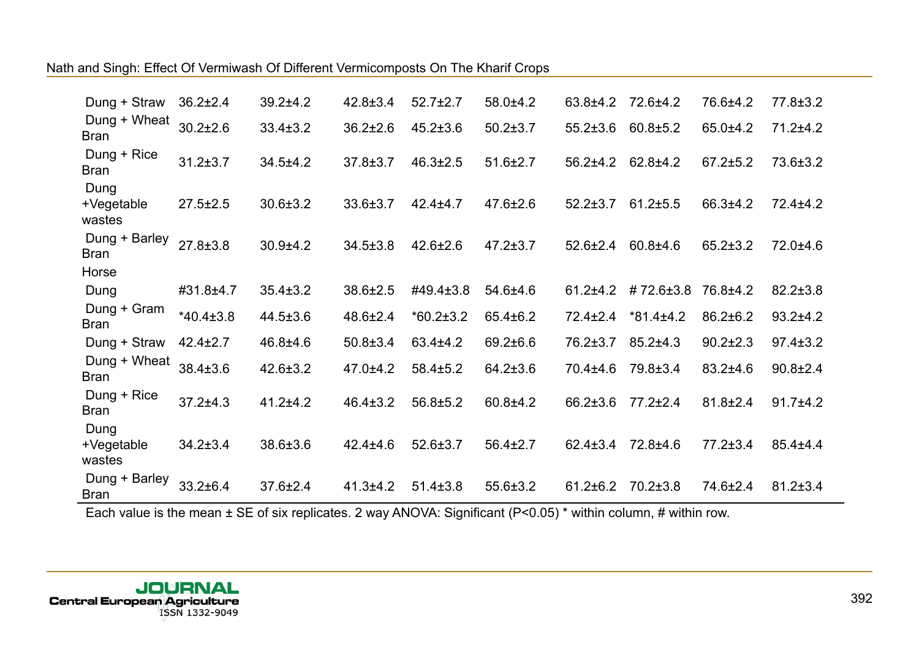| Dung + Straw                 | $36.2 \pm 2.4$  | $39.2 + 4.2$   | $42.8 \pm 3.4$ | $52.7 \pm 2.7$  | 58.0±4.2       | 63.8±4.2       | 72.6±4.2        | 76.6±4.2       | 77.8±3.2       |
|------------------------------|-----------------|----------------|----------------|-----------------|----------------|----------------|-----------------|----------------|----------------|
| Dung + Wheat<br><b>Bran</b>  | $30.2{\pm}2.6$  | $33.4 \pm 3.2$ | $36.2 \pm 2.6$ | $45.2 \pm 3.6$  | $50.2 \pm 3.7$ | $55.2 \pm 3.6$ | $60.8 \pm 5.2$  | $65.0 + 4.2$   | $71.2 + 4.2$   |
| Dung + Rice<br><b>Bran</b>   | $31.2 \pm 3.7$  | $34.5 + 4.2$   | $37.8 \pm 3.7$ | $46.3 \pm 2.5$  | $51.6 \pm 2.7$ | $56.2{\pm}4.2$ | $62.8 \pm 4.2$  | $67.2 \pm 5.2$ | 73.6±3.2       |
| Dung<br>+Vegetable<br>wastes | $27.5 \pm 2.5$  | $30.6 \pm 3.2$ | 33.6±3.7       | $42.4 \pm 4.7$  | $47.6 \pm 2.6$ | $52.2 \pm 3.7$ | $61.2 \pm 5.5$  | 66.3±4.2       | 72.4±4.2       |
| Dung + Barley<br><b>Bran</b> | $27.8 \pm 3.8$  | $30.9 + 4.2$   | $34.5 \pm 3.8$ | $42.6 \pm 2.6$  | $47.2 \pm 3.7$ | $52.6 \pm 2.4$ | $60.8 + 4.6$    | $65.2 \pm 3.2$ | 72.0±4.6       |
| Horse                        |                 |                |                |                 |                |                |                 |                |                |
| Dung                         | #31.8±4.7       | $35.4 \pm 3.2$ | 38.6±2.5       | #49.4±3.8       | 54.6±4.6       | $61.2 + 4.2$   | #72.6±3.8       | 76.8±4.2       | $82.2 \pm 3.8$ |
| Dung + Gram<br><b>Bran</b>   | $*40.4 \pm 3.8$ | $44.5 \pm 3.6$ | $48.6 \pm 2.4$ | $*60.2 \pm 3.2$ | $65.4 \pm 6.2$ | $72.4 \pm 2.4$ | $*81.4 \pm 4.2$ | $86.2 \pm 6.2$ | $93.2 + 4.2$   |
| Dung + Straw                 | $42.4 \pm 2.7$  | $46.8 + 4.6$   | $50.8 \pm 3.4$ | 63.4±4.2        | 69.2±6.6       | $76.2 \pm 3.7$ | $85.2 \pm 4.3$  | $90.2 \pm 2.3$ | $97.4 \pm 3.2$ |
| Dung + Wheat<br><b>Bran</b>  | $38.4 \pm 3.6$  | $42.6 \pm 3.2$ | $47.0 + 4.2$   | $58.4 \pm 5.2$  | $64.2 \pm 3.6$ | 70.4±4.6       | 79.8±3.4        | $83.2 + 4.6$   | $90.8 \pm 2.4$ |
| Dung + Rice<br><b>Bran</b>   | $37.2 \pm 4.3$  | $41.2 + 4.2$   | $46.4 \pm 3.2$ | $56.8 \pm 5.2$  | $60.8 + 4.2$   | $66.2 \pm 3.6$ | $77.2 \pm 2.4$  | $81.8 \pm 2.4$ | $91.7 + 4.2$   |
| Dung<br>+Vegetable<br>wastes | $34.2 \pm 3.4$  | 38.6±3.6       | $42.4 \pm 4.6$ | $52.6 \pm 3.7$  | $56.4 \pm 2.7$ | $62.4 \pm 3.4$ | 72.8±4.6        | $77.2 \pm 3.4$ | $85.4 \pm 4.4$ |
| Dung + Barley<br><b>Bran</b> | $33.2 \pm 6.4$  | $37.6 \pm 2.4$ | $41.3 + 4.2$   | $51.4 \pm 3.8$  | $55.6 \pm 3.2$ | $61.2 \pm 6.2$ | $70.2 \pm 3.8$  | 74.6±2.4       | $81.2 \pm 3.4$ |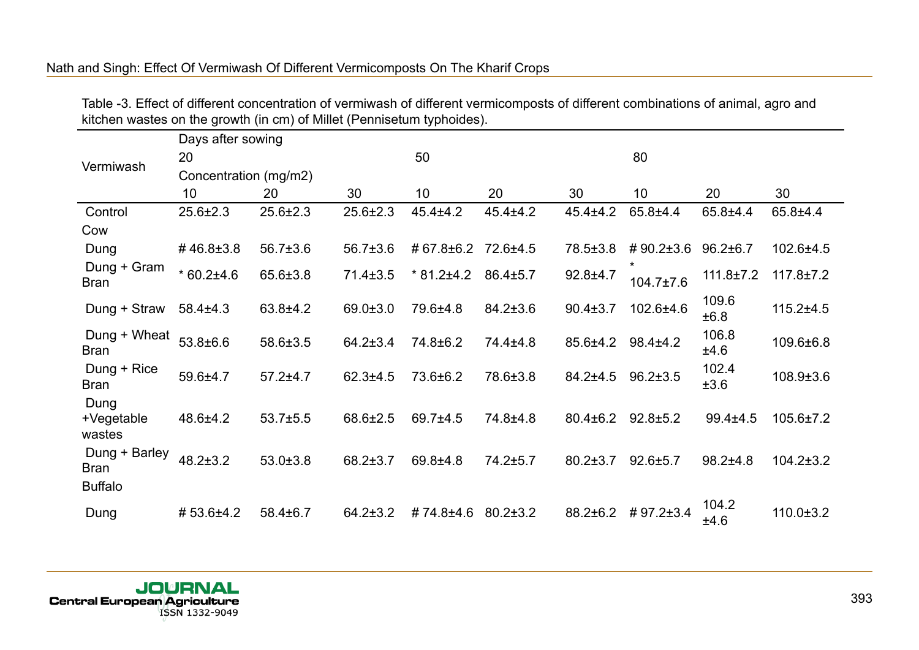|                                                |                       |                |                | . .             |                |                |                      |                 |                 |
|------------------------------------------------|-----------------------|----------------|----------------|-----------------|----------------|----------------|----------------------|-----------------|-----------------|
|                                                | Days after sowing     |                |                |                 |                |                |                      |                 |                 |
| Vermiwash                                      | 20                    |                |                | 50              |                |                | 80                   |                 |                 |
|                                                | Concentration (mg/m2) |                |                |                 |                |                |                      |                 |                 |
|                                                | 10 <sup>1</sup>       | 20             | 30             | 10              | 20             | 30             | 10                   | 20              | 30              |
| Control                                        | $25.6 \pm 2.3$        | $25.6 \pm 2.3$ | $25.6 \pm 2.3$ | $45.4 \pm 4.2$  | $45.4 \pm 4.2$ | $45.4 \pm 4.2$ | 65.8±4.4             | 65.8±4.4        | $65.8 + 4.4$    |
| Cow                                            |                       |                |                |                 |                |                |                      |                 |                 |
| Dung                                           | #46.8±3.8             | $56.7{\pm}3.6$ | $56.7 \pm 3.6$ | #67.8±6.2       | 72.6±4.5       | 78.5±3.8       | #90.2±3.6            | $96.2 \pm 6.7$  | 102.6±4.5       |
| Dung + Gram<br><b>Bran</b>                     | $*60.2 \pm 4.6$       | 65.6±3.8       | $71.4 \pm 3.5$ | $*81.2 \pm 4.2$ | $86.4 \pm 5.7$ | $92.8 + 4.7$   | *<br>$104.7 \pm 7.6$ | $111.8 \pm 7.2$ | $117.8 \pm 7.2$ |
| Dung + Straw                                   | $58.4 \pm 4.3$        | $63.8 + 4.2$   | $69.0 \pm 3.0$ | 79.6±4.8        | $84.2 \pm 3.6$ | $90.4 \pm 3.7$ | 102.6±4.6            | 109.6<br>±6.8   | $115.2 + 4.5$   |
| Dung + Wheat<br><b>Bran</b>                    | 53.8±6.6              | 58.6±3.5       | $64.2 \pm 3.4$ | 74.8±6.2        | 74.4±4.8       | 85.6±4.2       | $98.4 \pm 4.2$       | 106.8<br>±4.6   | 109.6±6.8       |
| Dung + Rice<br><b>Bran</b>                     | 59.6±4.7              | $57.2 + 4.7$   | $62.3 + 4.5$   | 73.6±6.2        | 78.6±3.8       | $84.2 + 4.5$   | $96.2 \pm 3.5$       | 102.4<br>±3.6   | $108.9 \pm 3.6$ |
| Dung<br>+Vegetable<br>wastes                   | $48.6 \pm 4.2$        | $53.7 + 5.5$   | 68.6±2.5       | 69.7±4.5        | 74.8±4.8       | $80.4 \pm 6.2$ | $92.8 \pm 5.2$       | $99.4 \pm 4.5$  | $105.6 \pm 7.2$ |
| Dung + Barley<br><b>Bran</b><br><b>Buffalo</b> | $48.2 \pm 3.2$        | $53.0 \pm 3.8$ | 68.2±3.7       | $69.8 + 4.8$    | 74.2±5.7       | $80.2 \pm 3.7$ | $92.6 + 5.7$         | $98.2{\pm}4.8$  | $104.2 \pm 3.2$ |
| Dung                                           | #53.6±4.2             | $58.4 \pm 6.7$ | $64.2 \pm 3.2$ | #74.8±4.6       | $80.2 \pm 3.2$ | 88.2±6.2       | #97.2±3.4            | 104.2<br>±4.6   | $110.0 \pm 3.2$ |

Table -3. Effect of different concentration of vermiwash of different vermicomposts of different combinations of animal, agro and kitchen wastes on the growth (in cm) of Millet (Pennisetum typhoides).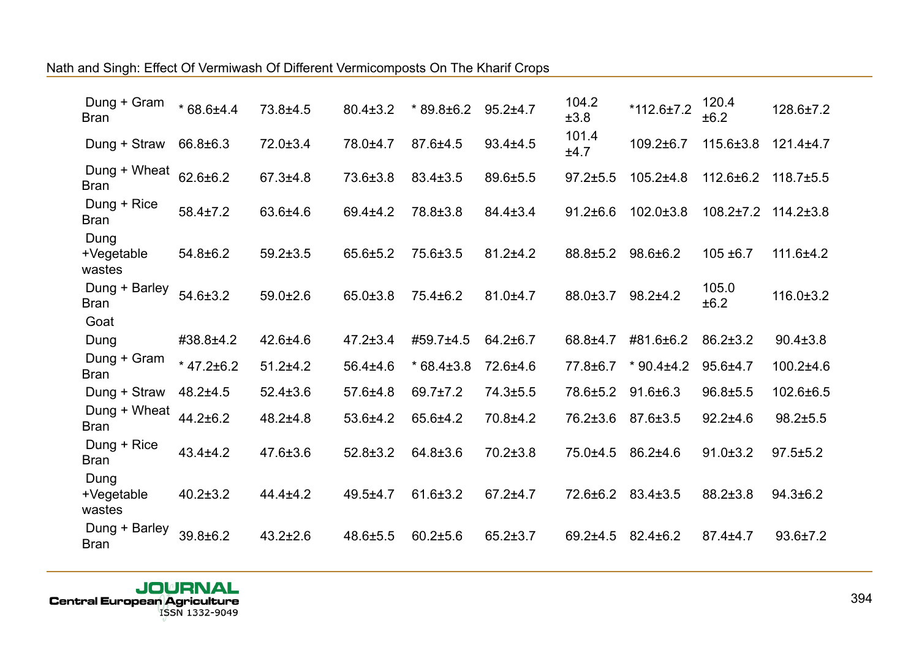| Dung + Gram<br><b>Bran</b>   | $*68.6±4.4$        | 73.8±4.5       | $80.4 \pm 3.2$ | $*89.8 \pm 6.2$ | $95.2 + 4.7$   | 104.2<br>±3.8  | $*112.6 \pm 7.2$ | 120.4<br>±6.2   | 128.6±7.2       |
|------------------------------|--------------------|----------------|----------------|-----------------|----------------|----------------|------------------|-----------------|-----------------|
| Dung + Straw                 | 66.8±6.3           | $72.0 \pm 3.4$ | 78.0±4.7       | 87.6±4.5        | $93.4 + 4.5$   | 101.4<br>±4.7  | $109.2 \pm 6.7$  | 115.6±3.8       | $121.4 + 4.7$   |
| Dung + Wheat<br><b>Bran</b>  | 62.6±6.2           | $67.3 + 4.8$   | 73.6±3.8       | $83.4 \pm 3.5$  | 89.6±5.5       | $97.2 \pm 5.5$ | $105.2{\pm}4.8$  | 112.6±6.2       | $118.7 \pm 5.5$ |
| Dung + Rice<br><b>Bran</b>   | $58.4 \pm 7.2$     | 63.6±4.6       | $69.4 \pm 4.2$ | 78.8±3.8        | 84.4±3.4       | $91.2 \pm 6.6$ | $102.0 \pm 3.8$  | $108.2 \pm 7.2$ | $114.2 \pm 3.8$ |
| Dung<br>+Vegetable<br>wastes | $54.8 \pm 6.2$     | $59.2 \pm 3.5$ | $65.6 \pm 5.2$ | 75.6±3.5        | $81.2 \pm 4.2$ | 88.8±5.2       | 98.6±6.2         | $105 + 6.7$     | $111.6 \pm 4.2$ |
| Dung + Barley<br><b>Bran</b> | 54.6±3.2           | $59.0 \pm 2.6$ | 65.0±3.8       | $75.4 \pm 6.2$  | $81.0 + 4.7$   | 88.0±3.7       | $98.2 + 4.2$     | 105.0<br>±6.2   | $116.0 \pm 3.2$ |
| Goat                         |                    |                |                |                 |                |                |                  |                 |                 |
| Dung                         | #38.8±4.2          | $42.6 + 4.6$   | $47.2 \pm 3.4$ | #59.7±4.5       | 64.2±6.7       | 68.8±4.7       | #81.6±6.2        | $86.2 \pm 3.2$  | $90.4 \pm 3.8$  |
| Dung + Gram<br><b>Bran</b>   | $*$ 47.2 $\pm$ 6.2 | $51.2 + 4.2$   | $56.4{\pm}4.6$ | $*68.4\pm3.8$   | 72.6±4.6       | 77.8±6.7       | $*90.4 \pm 4.2$  | $95.6 + 4.7$    | 100.2±4.6       |
| Dung + Straw                 | $48.2 + 4.5$       | $52.4 \pm 3.6$ | 57.6±4.8       | $69.7 \pm 7.2$  | 74.3±5.5       | 78.6±5.2       | $91.6 \pm 6.3$   | $96.8 + 5.5$    | 102.6±6.5       |
| Dung + Wheat<br><b>Bran</b>  | $44.2 \pm 6.2$     | 48.2±4.8       | 53.6±4.2       | 65.6±4.2        | 70.8±4.2       | 76.2±3.6       | 87.6±3.5         | $92.2 + 4.6$    | $98.2 \pm 5.5$  |
| Dung + Rice<br><b>Bran</b>   | $43.4 + 4.2$       | 47.6±3.6       | $52.8 \pm 3.2$ | 64.8±3.6        | $70.2 \pm 3.8$ | 75.0±4.5       | 86.2±4.6         | $91.0 \pm 3.2$  | $97.5 \pm 5.2$  |
| Dung<br>+Vegetable<br>wastes | $40.2 \pm 3.2$     | $44.4 \pm 4.2$ | 49.5±4.7       | $61.6 \pm 3.2$  | $67.2 + 4.7$   | 72.6±6.2       | 83.4±3.5         | 88.2±3.8        | $94.3 \pm 6.2$  |
| Dung + Barley<br><b>Bran</b> | 39.8±6.2           | $43.2 \pm 2.6$ | 48.6±5.5       | $60.2{\pm}5.6$  | $65.2 \pm 3.7$ | $69.2 + 4.5$   | $82.4 \pm 6.2$   | 87.4±4.7        | $93.6 \pm 7.2$  |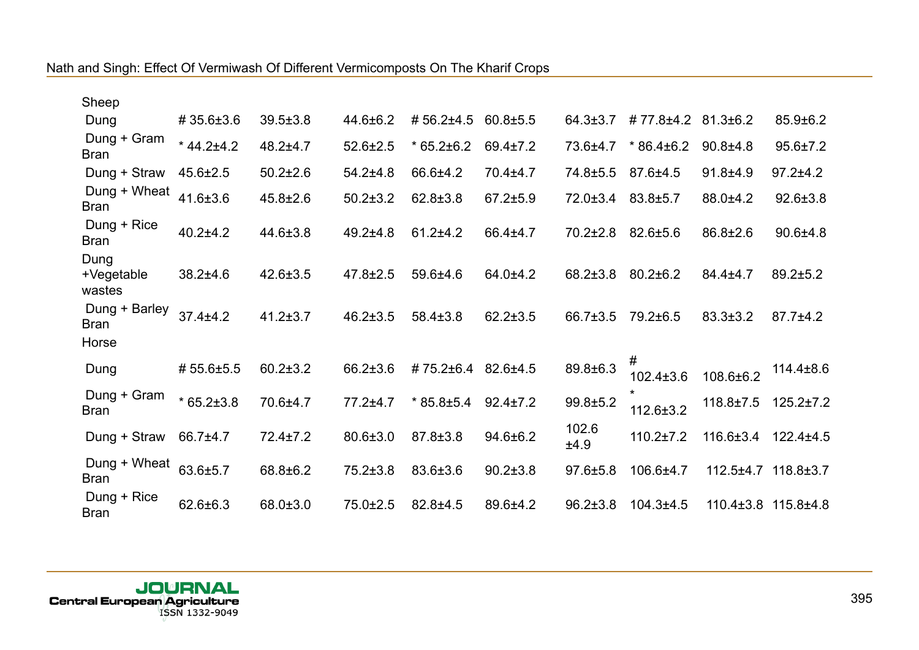| Sheep                        |                 |                |                |                 |                |                |                      |                 |                     |
|------------------------------|-----------------|----------------|----------------|-----------------|----------------|----------------|----------------------|-----------------|---------------------|
| Dung                         | #35.6±3.6       | $39.5 \pm 3.8$ | $44.6 \pm 6.2$ | #56.2±4.5       | $60.8 + 5.5$   | $64.3 \pm 3.7$ | #77.8±4.2            | $81.3 \pm 6.2$  | $85.9 \pm 6.2$      |
| Dung + Gram<br><b>Bran</b>   | $*44.2 \pm 4.2$ | $48.2 \pm 4.7$ | $52.6 \pm 2.5$ | $*65.2 \pm 6.2$ | $69.4 \pm 7.2$ | 73.6±4.7       | $*86.4\pm6.2$        | $90.8 + 4.8$    | $95.6 \pm 7.2$      |
| Dung + Straw                 | $45.6 \pm 2.5$  | $50.2 \pm 2.6$ | $54.2 \pm 4.8$ | 66.6±4.2        | 70.4±4.7       | 74.8±5.5       | 87.6±4.5             | $91.8 + 4.9$    | $97.2 + 4.2$        |
| Dung + Wheat<br><b>Bran</b>  | $41.6 \pm 3.6$  | $45.8 \pm 2.6$ | $50.2 \pm 3.2$ | $62.8 \pm 3.8$  | $67.2 \pm 5.9$ | 72.0±3.4       | 83.8±5.7             | 88.0±4.2        | $92.6 \pm 3.8$      |
| Dung + Rice<br><b>Bran</b>   | $40.2 + 4.2$    | $44.6 \pm 3.8$ | $49.2 \pm 4.8$ | $61.2 + 4.2$    | 66.4±4.7       | $70.2 \pm 2.8$ | 82.6±5.6             | $86.8 \pm 2.6$  | $90.6 + 4.8$        |
| Dung<br>+Vegetable<br>wastes | $38.2{\pm}4.6$  | $42.6 \pm 3.5$ | $47.8 \pm 2.5$ | $59.6 + 4.6$    | 64.0±4.2       | $68.2 \pm 3.8$ | $80.2 \pm 6.2$       | 84.4±4.7        | $89.2 \pm 5.2$      |
| Dung + Barley<br><b>Bran</b> | $37.4 \pm 4.2$  | $41.2 \pm 3.7$ | $46.2 \pm 3.5$ | 58.4±3.8        | $62.2 \pm 3.5$ | 66.7±3.5       | 79.2±6.5             | $83.3 \pm 3.2$  | $87.7 \pm 4.2$      |
| Horse                        |                 |                |                |                 |                |                |                      |                 |                     |
| Dung                         | #55.6±5.5       | $60.2 \pm 3.2$ | $66.2 \pm 3.6$ | #75.2±6.4       | 82.6±4.5       | 89.8±6.3       | #<br>102.4±3.6       | 108.6±6.2       | $114.4 \pm 8.6$     |
| Dung + Gram<br><b>Bran</b>   | $*65.2 \pm 3.8$ | 70.6±4.7       | $77.2 + 4.7$   | $*85.8 \pm 5.4$ | $92.4 \pm 7.2$ | 99.8±5.2       | $\star$<br>112.6±3.2 | $118.8 \pm 7.5$ | $125.2 \pm 7.2$     |
| Dung + Straw                 | 66.7±4.7        | $72.4 \pm 7.2$ | $80.6 \pm 3.0$ | 87.8±3.8        | $94.6 \pm 6.2$ | 102.6<br>±4.9  | $110.2 \pm 7.2$      | $116.6 \pm 3.4$ | $122.4 \pm 4.5$     |
| Dung + Wheat<br><b>Bran</b>  | 63.6±5.7        | 68.8±6.2       | $75.2 \pm 3.8$ | 83.6±3.6        | $90.2 \pm 3.8$ | $97.6 \pm 5.8$ | 106.6±4.7            |                 | 112.5±4.7 118.8±3.7 |
| Dung + Rice<br><b>Bran</b>   | $62.6 \pm 6.3$  | 68.0±3.0       | 75.0±2.5       | $82.8 + 4.5$    | 89.6±4.2       | $96.2 \pm 3.8$ | 104.3±4.5            | $110.4 \pm 3.8$ | $115.8 \pm 4.8$     |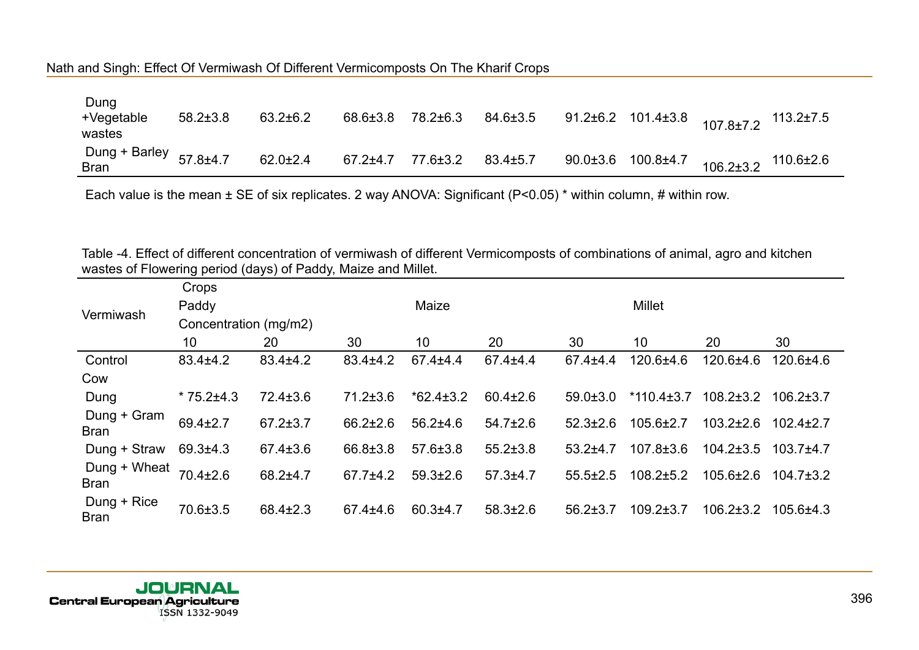| Dung<br>+Vegetable<br>wastes                | $58.2 \pm 3.8$ | $63.2 \pm 6.2$ | $68.6 \pm 3.8$ | 78.2±6.3 | 84.6±3.5       | 91.2±6.2 101.4±3.8 $107.8\pm7.2$ 113.2±7.5         |  |
|---------------------------------------------|----------------|----------------|----------------|----------|----------------|----------------------------------------------------|--|
| Dung + Barley $57.8 \pm 4.7$<br><b>Bran</b> |                | $62.0 \pm 2.4$ | 67.2±4.7       | 77.6±3.2 | $83.4 \pm 5.7$ | 90.0±3.6 $100.8\pm4.7$ $106.2\pm3.2$ $110.6\pm2.6$ |  |

Table -4. Effect of different concentration of vermiwash of different Vermicomposts of combinations of animal, agro and kitchen wastes of Flowering period (days) of Paddy, Maize and Millet.

|                             | Crops                 |                |                |                 |                |                |                  |                 |                 |
|-----------------------------|-----------------------|----------------|----------------|-----------------|----------------|----------------|------------------|-----------------|-----------------|
| Vermiwash                   | Paddy                 |                |                | Maize           |                |                | <b>Millet</b>    |                 |                 |
|                             | Concentration (mg/m2) |                |                |                 |                |                |                  |                 |                 |
|                             | 10                    | 20             | 30             | 10              | 20             | 30             | 10               | 20              | 30              |
| Control                     | $83.4 \pm 4.2$        | $83.4 \pm 4.2$ | $83.4 \pm 4.2$ | $67.4 \pm 4.4$  | $67.4 \pm 4.4$ | $67.4 \pm 4.4$ | $120.6 + 4.6$    | 120.6±4.6       | 120.6±4.6       |
| Cow                         |                       |                |                |                 |                |                |                  |                 |                 |
| Dung                        | $*75.2 \pm 4.3$       | $72.4 \pm 3.6$ | $71.2 \pm 3.6$ | $*62.4 \pm 3.2$ | $60.4 \pm 2.6$ | $59.0 \pm 3.0$ | $*110.4 \pm 3.7$ | $108.2 \pm 3.2$ | $106.2 \pm 3.7$ |
| Dung + Gram<br>Bran         | $69.4 \pm 2.7$        | $67.2 \pm 3.7$ | $66.2 \pm 2.6$ | $56.2{\pm}4.6$  | $54.7 \pm 2.6$ | $52.3 \pm 2.6$ | $105.6 \pm 2.7$  | $103.2 \pm 2.6$ | $102.4 \pm 2.7$ |
| Dung + Straw                | $69.3{\pm}4.3$        | $67.4 \pm 3.6$ | 66.8±3.8       | $57.6 \pm 3.8$  | $55.2 \pm 3.8$ | $53.2 + 4.7$   | $107.8 \pm 3.6$  | $104.2 \pm 3.5$ | $103.7 + 4.7$   |
| Dung + Wheat<br><b>Bran</b> | $70.4 \pm 2.6$        | 68.2±4.7       | $67.7 + 4.2$   | $59.3 \pm 2.6$  | $57.3 + 4.7$   | $55.5 \pm 2.5$ | $108.2 \pm 5.2$  | $105.6 \pm 2.6$ | $104.7\pm3.2$   |
| Dung + Rice<br><b>Bran</b>  | 70.6±3.5              | $68.4 \pm 2.3$ | $67.4 \pm 4.6$ | $60.3 + 4.7$    | $58.3 \pm 2.6$ | $56.2 \pm 3.7$ | $109.2 \pm 3.7$  | $106.2 \pm 3.2$ | $105.6{\pm}4.3$ |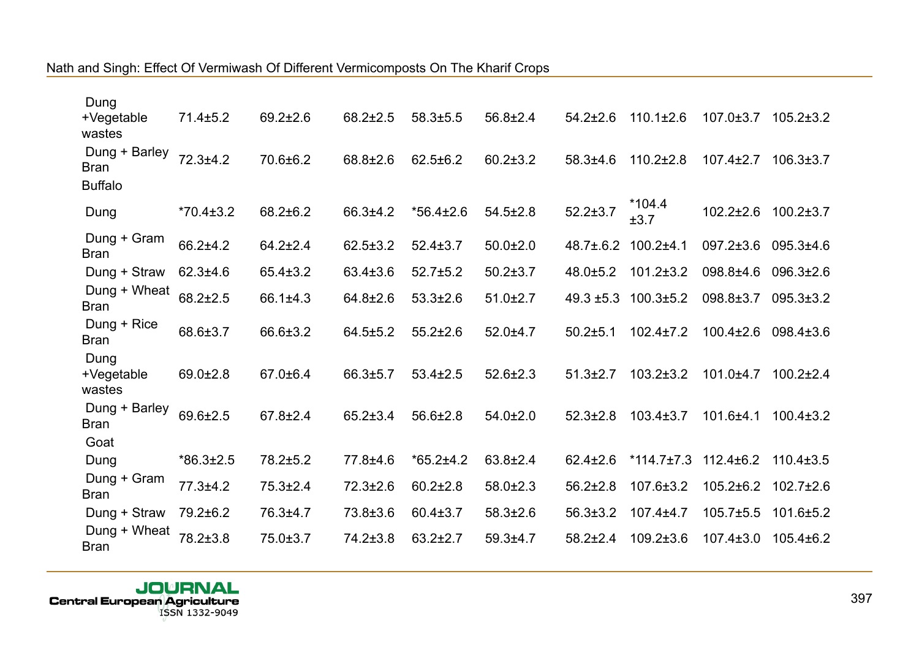| Dung<br>+Vegetable                                       | $71.4 \pm 5.2$  | $69.2 \pm 2.6$ | $68.2 \pm 2.5$ | $58.3 \pm 5.5$  | $56.8 \pm 2.4$ | $54.2 \pm 2.6$  | $110.1 \pm 2.6$  | $107.0 \pm 3.7$ | $105.2 \pm 3.2$ |
|----------------------------------------------------------|-----------------|----------------|----------------|-----------------|----------------|-----------------|------------------|-----------------|-----------------|
| wastes<br>Dung + Barley<br><b>Bran</b><br><b>Buffalo</b> | $72.3 + 4.2$    | 70.6±6.2       | 68.8±2.6       | $62.5 \pm 6.2$  | $60.2 \pm 3.2$ | $58.3{\pm}4.6$  | $110.2 \pm 2.8$  | $107.4 \pm 2.7$ | $106.3 \pm 3.7$ |
| Dung                                                     | $*70.4 \pm 3.2$ | 68.2±6.2       | 66.3±4.2       | $*56.4 \pm 2.6$ | $54.5 \pm 2.8$ | $52.2 \pm 3.7$  | $*104.4$<br>±3.7 | $102.2 \pm 2.6$ | $100.2 \pm 3.7$ |
| Dung + Gram<br><b>Bran</b>                               | 66.2±4.2        | $64.2 \pm 2.4$ | $62.5 \pm 3.2$ | $52.4 \pm 3.7$  | $50.0 \pm 2.0$ | $48.7 \pm .6.2$ | $100.2 + 4.1$    | $097.2 \pm 3.6$ | $095.3{\pm}4.6$ |
| Dung + Straw                                             | $62.3 + 4.6$    | $65.4 \pm 3.2$ | $63.4 \pm 3.6$ | $52.7 \pm 5.2$  | $50.2 \pm 3.7$ | $48.0 \pm 5.2$  | $101.2 \pm 3.2$  | 098.8±4.6       | $096.3{\pm}2.6$ |
| Dung + Wheat<br><b>Bran</b>                              | $68.2 \pm 2.5$  | 66.1±4.3       | 64.8±2.6       | $53.3 \pm 2.6$  | $51.0 \pm 2.7$ | $49.3 \pm 5.3$  | $100.3 \pm 5.2$  | 098.8±3.7       | $095.3 \pm 3.2$ |
| Dung + Rice<br><b>Bran</b>                               | 68.6±3.7        | 66.6±3.2       | $64.5 \pm 5.2$ | $55.2 \pm 2.6$  | $52.0 + 4.7$   | $50.2{\pm}5.1$  | $102.4 \pm 7.2$  | $100.4 \pm 2.6$ | 098.4±3.6       |
| Dung<br>+Vegetable<br>wastes                             | $69.0 \pm 2.8$  | 67.0±6.4       | 66.3±5.7       | $53.4 \pm 2.5$  | $52.6 \pm 2.3$ | $51.3 \pm 2.7$  | $103.2 \pm 3.2$  | $101.0 + 4.7$   | $100.2 \pm 2.4$ |
| Dung + Barley<br><b>Bran</b>                             | 69.6±2.5        | $67.8 \pm 2.4$ | $65.2 \pm 3.4$ | $56.6 \pm 2.8$  | $54.0 \pm 2.0$ | $52.3 \pm 2.8$  | $103.4 \pm 3.7$  | 101.6±4.1       | $100.4 \pm 3.2$ |
| Goat                                                     |                 |                |                |                 |                |                 |                  |                 |                 |
| Dung                                                     | $*86.3 \pm 2.5$ | 78.2±5.2       | 77.8±4.6       | $*65.2 \pm 4.2$ | 63.8±2.4       | $62.4 \pm 2.6$  | $*114.7 \pm 7.3$ | $112.4 \pm 6.2$ | $110.4 \pm 3.5$ |
| Dung + Gram<br><b>Bran</b>                               | 77.3±4.2        | $75.3 \pm 2.4$ | $72.3 \pm 2.6$ | $60.2 \pm 2.8$  | $58.0 \pm 2.3$ | $56.2 \pm 2.8$  | $107.6 \pm 3.2$  | 105.2±6.2       | $102.7 \pm 2.6$ |
| Dung + Straw                                             | 79.2±6.2        | 76.3±4.7       | 73.8±3.6       | $60.4 \pm 3.7$  | $58.3 \pm 2.6$ | $56.3 \pm 3.2$  | $107.4 + 4.7$    | $105.7 \pm 5.5$ | 101.6±5.2       |
| Dung + Wheat<br><b>Bran</b>                              | 78.2±3.8        | 75.0±3.7       | 74.2±3.8       | $63.2 \pm 2.7$  | $59.3 + 4.7$   | $58.2 \pm 2.4$  | $109.2 \pm 3.6$  | $107.4 \pm 3.0$ | $105.4\pm 6.2$  |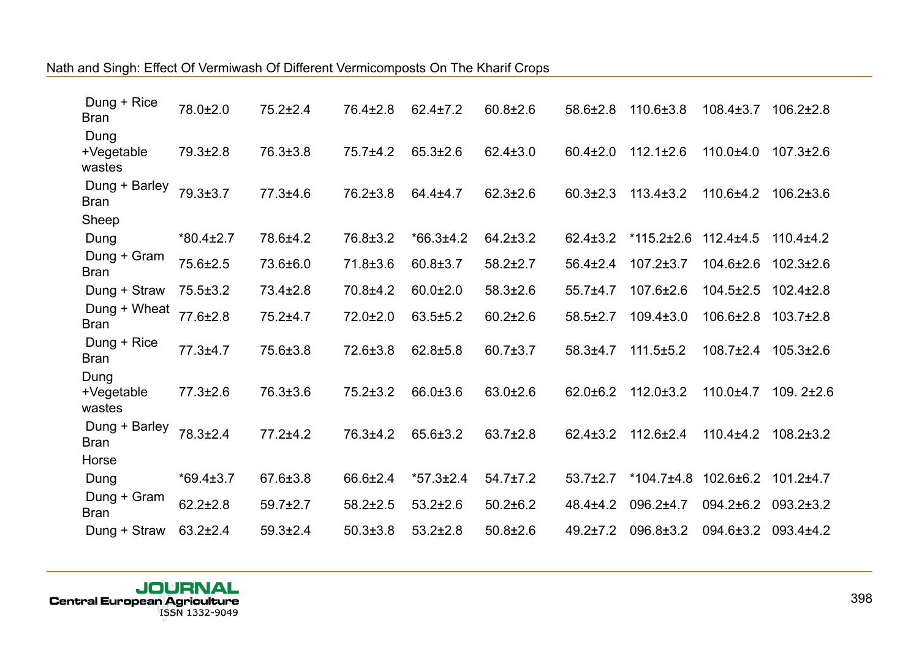| Dung + Rice<br><b>Bran</b>   | 78.0±2.0        | $75.2 \pm 2.4$ | 76.4±2.8       | $62.4 \pm 7.2$  | $60.8 \pm 2.6$ | $58.6 \pm 2.8$ | $110.6 \pm 3.8$  | $108.4 \pm 3.7$ | $106.2 \pm 2.8$ |
|------------------------------|-----------------|----------------|----------------|-----------------|----------------|----------------|------------------|-----------------|-----------------|
| Dung<br>+Vegetable           | $79.3 \pm 2.8$  | 76.3±3.8       | $75.7 \pm 4.2$ | $65.3 \pm 2.6$  | $62.4 \pm 3.0$ | $60.4 \pm 2.0$ | $112.1 \pm 2.6$  | $110.0 + 4.0$   | $107.3 \pm 2.6$ |
| wastes                       |                 |                |                |                 |                |                |                  |                 |                 |
| Dung + Barley<br><b>Bran</b> | 79.3±3.7        | 77.3±4.6       | 76.2±3.8       | 64.4±4.7        | $62.3 \pm 2.6$ | $60.3 \pm 2.3$ | $113.4 \pm 3.2$  | 110.6±4.2       | $106.2 \pm 3.6$ |
| Sheep                        |                 |                |                |                 |                |                |                  |                 |                 |
| Dung                         | $*80.4 \pm 2.7$ | 78.6±4.2       | 76.8±3.2       | $*66.3±4.2$     | $64.2 \pm 3.2$ | $62.4 \pm 3.2$ | $*115.2 \pm 2.6$ | $112.4 \pm 4.5$ | $110.4 + 4.2$   |
| Dung + Gram<br><b>Bran</b>   | 75.6±2.5        | 73.6±6.0       | 71.8±3.6       | $60.8 \pm 3.7$  | $58.2 \pm 2.7$ | $56.4 \pm 2.4$ | $107.2 \pm 3.7$  | 104.6±2.6       | $102.3 \pm 2.6$ |
| Dung + Straw                 | $75.5 \pm 3.2$  | $73.4 \pm 2.8$ | 70.8±4.2       | $60.0 \pm 2.0$  | $58.3 \pm 2.6$ | 55.7±4.7       | 107.6±2.6        | $104.5 \pm 2.5$ | $102.4 \pm 2.8$ |
| Dung + Wheat<br><b>Bran</b>  | 77.6±2.8        | 75.2±4.7       | $72.0 \pm 2.0$ | $63.5 \pm 5.2$  | $60.2 \pm 2.6$ | $58.5 \pm 2.7$ | $109.4 \pm 3.0$  | $106.6 \pm 2.8$ | $103.7 \pm 2.8$ |
| Dung + Rice<br><b>Bran</b>   | $77.3 + 4.7$    | 75.6±3.8       | 72.6±3.8       | $62.8 \pm 5.8$  | $60.7 \pm 3.7$ | $58.3 + 4.7$   | $111.5 \pm 5.2$  | $108.7 \pm 2.4$ | $105.3 \pm 2.6$ |
| Dung<br>+Vegetable           | $77.3 \pm 2.6$  | 76.3±3.6       | $75.2 \pm 3.2$ | 66.0±3.6        | $63.0 \pm 2.6$ | $62.0 \pm 6.2$ | 112.0±3.2        | 110.0±4.7       | $109.2 \pm 2.6$ |
| wastes                       |                 |                |                |                 |                |                |                  |                 |                 |
| Dung + Barley<br><b>Bran</b> | 78.3±2.4        | 77.2±4.2       | 76.3±4.2       | 65.6±3.2        | $63.7 \pm 2.8$ | $62.4 \pm 3.2$ | 112.6±2.4        | 110.4±4.2       | $108.2 \pm 3.2$ |
| Horse                        |                 |                |                |                 |                |                |                  |                 |                 |
| Dung                         | $*69.4 \pm 3.7$ | 67.6±3.8       | 66.6±2.4       | $*57.3 \pm 2.4$ | $54.7 \pm 7.2$ | $53.7 \pm 2.7$ | $*104.7 \pm 4.8$ | 102.6±6.2       | $101.2 \pm 4.7$ |
| Dung + Gram<br><b>Bran</b>   | $62.2 \pm 2.8$  | $59.7 \pm 2.7$ | $58.2 \pm 2.5$ | $53.2 \pm 2.6$  | $50.2 \pm 6.2$ | $48.4{\pm}4.2$ | 096.2±4.7        | 094.2±6.2       | $093.2 \pm 3.2$ |
| Dung + Straw                 | $63.2 \pm 2.4$  | $59.3{\pm}2.4$ | $50.3 \pm 3.8$ | $53.2 \pm 2.8$  | $50.8 \pm 2.6$ | $49.2 \pm 7.2$ | 096.8±3.2        | $094.6 \pm 3.2$ | 093.4±4.2       |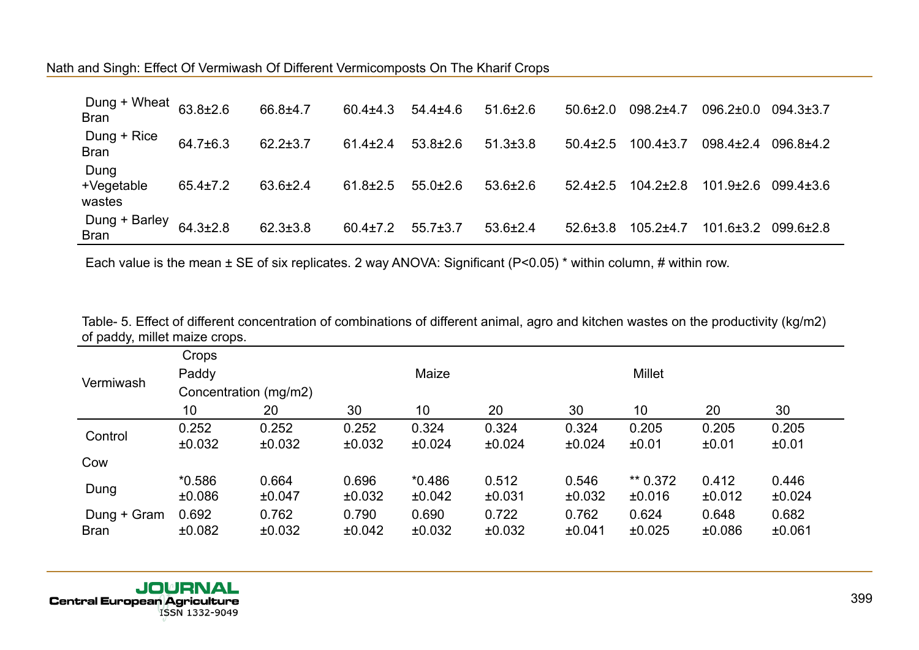| Dung + Wheat<br><b>Bran</b>  | $63.8 \pm 2.6$ | 66.8±4.7       | $60.4 \pm 4.3$ | $54.4 \pm 4.6$ | $51.6 \pm 2.6$ | $50.6 \pm 2.0$ | $098.2{\pm}4.7$ | $096.2 \pm 0.0$ | $094.3 \pm 3.7$ |
|------------------------------|----------------|----------------|----------------|----------------|----------------|----------------|-----------------|-----------------|-----------------|
| Dung + Rice<br><b>Bran</b>   | 64.7±6.3       | $62.2 \pm 3.7$ | $61.4 \pm 2.4$ | $53.8 \pm 2.6$ | $51.3 \pm 3.8$ | $50.4 \pm 2.5$ | $100.4 \pm 3.7$ | $098.4 \pm 2.4$ | $096.8 + 4.2$   |
| Dung<br>+Vegetable<br>wastes | $65.4 \pm 7.2$ | 63.6±2.4       | $61.8 \pm 2.5$ | $55.0 \pm 2.6$ | $53.6 \pm 2.6$ | $52.4 \pm 2.5$ | $104.2 \pm 2.8$ | $101.9 \pm 2.6$ | $099.4{\pm}3.6$ |
| Dung + Barley<br><b>Bran</b> | $64.3 \pm 2.8$ | $62.3 \pm 3.8$ | $60.4 \pm 7.2$ | $55.7 \pm 3.7$ | $53.6 \pm 2.4$ | $52.6 \pm 3.8$ | $105.2 + 4.7$   | $101.6 \pm 3.2$ | 099.6±2.8       |

|                               | Table- 5. Effect of different concentration of combinations of different animal, agro and kitchen wastes on the productivity (kg/m2) |  |
|-------------------------------|--------------------------------------------------------------------------------------------------------------------------------------|--|
| of paddy, millet maize crops. |                                                                                                                                      |  |

|             | Crops                 |        |        |          |        |        |               |             |        |  |  |
|-------------|-----------------------|--------|--------|----------|--------|--------|---------------|-------------|--------|--|--|
| Vermiwash   | Paddy                 |        |        | Maize    |        |        | <b>Millet</b> |             |        |  |  |
|             | Concentration (mg/m2) |        |        |          |        |        |               |             |        |  |  |
|             | 10                    | 20     | 30     | 10       | 20     | 30     | 10            | 20          | 30     |  |  |
| Control     | 0.252                 | 0.252  | 0.252  | 0.324    | 0.324  | 0.324  | 0.205         | 0.205       | 0.205  |  |  |
|             | ±0.032                | ±0.032 | ±0.032 | ±0.024   | ±0.024 | ±0.024 | ±0.01         | ±0.01       | ±0.01  |  |  |
| Cow         |                       |        |        |          |        |        |               |             |        |  |  |
|             | $*0.586$              | 0.664  | 0.696  | $*0.486$ | 0.512  | 0.546  | ** 0.372      | 0.412       | 0.446  |  |  |
| Dung        | ±0.086                | ±0.047 | ±0.032 | ±0.042   | ±0.031 | ±0.032 | ±0.016        | ±0.012      | ±0.024 |  |  |
| Dung + Gram | 0.692                 | 0.762  | 0.790  | 0.690    | 0.722  | 0.762  | 0.624         | 0.648       | 0.682  |  |  |
| <b>Bran</b> | ±0.082                | ±0.032 | ±0.042 | ±0.032   | ±0.032 | ±0.041 | ±0.025        | $\pm 0.086$ | ±0.061 |  |  |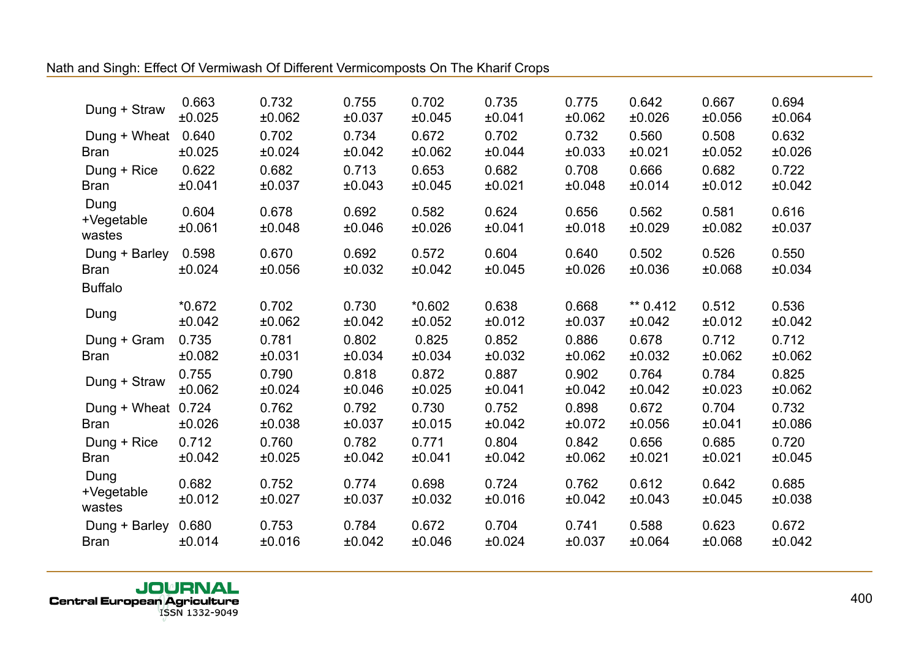| Dung + Straw                 | 0.663           | 0.732           | 0.755           | 0.702           | 0.735           | 0.775           | 0.642           | 0.667           | 0.694           |
|------------------------------|-----------------|-----------------|-----------------|-----------------|-----------------|-----------------|-----------------|-----------------|-----------------|
|                              | ±0.025          | ±0.062          | ±0.037          | ±0.045          | ±0.041          | ±0.062          | ±0.026          | ±0.056          | ±0.064          |
| Dung + Wheat                 | 0.640           | 0.702           | 0.734           | 0.672           | 0.702           | 0.732           | 0.560           | 0.508           | 0.632           |
| <b>Bran</b>                  | ±0.025          | ±0.024          | ±0.042          | ±0.062          | ±0.044          | ±0.033          | ±0.021          | ±0.052          | ±0.026          |
| Dung + Rice                  | 0.622           | 0.682           | 0.713           | 0.653           | 0.682           | 0.708           | 0.666           | 0.682           | 0.722           |
| <b>Bran</b>                  | ±0.041          | ±0.037          | ±0.043          | ±0.045          | ±0.021          | ±0.048          | ±0.014          | ±0.012          | ±0.042          |
| Dung<br>+Vegetable<br>wastes | 0.604<br>±0.061 | 0.678<br>±0.048 | 0.692<br>±0.046 | 0.582<br>±0.026 | 0.624<br>±0.041 | 0.656<br>±0.018 | 0.562<br>±0.029 | 0.581<br>±0.082 | 0.616<br>±0.037 |
| Dung + Barley                | 0.598           | 0.670           | 0.692           | 0.572           | 0.604           | 0.640           | 0.502           | 0.526           | 0.550           |
| <b>Bran</b>                  | ±0.024          | ±0.056          | ±0.032          | ±0.042          | ±0.045          | ±0.026          | ±0.036          | ±0.068          | ±0.034          |
| <b>Buffalo</b>               |                 |                 |                 |                 |                 |                 |                 |                 |                 |
| Dung                         | $*0.672$        | 0.702           | 0.730           | $*0.602$        | 0.638           | 0.668           | ** $0.412$      | 0.512           | 0.536           |
|                              | ±0.042          | ±0.062          | ±0.042          | ±0.052          | ±0.012          | ±0.037          | ±0.042          | ±0.012          | ±0.042          |
| Dung + Gram                  | 0.735           | 0.781           | 0.802           | 0.825           | 0.852           | 0.886           | 0.678           | 0.712           | 0.712           |
| <b>Bran</b>                  | ±0.082          | ±0.031          | ±0.034          | ±0.034          | ±0.032          | ±0.062          | ±0.032          | ±0.062          | ±0.062          |
| Dung + Straw                 | 0.755           | 0.790           | 0.818           | 0.872           | 0.887           | 0.902           | 0.764           | 0.784           | 0.825           |
|                              | ±0.062          | ±0.024          | ±0.046          | ±0.025          | ±0.041          | ±0.042          | ±0.042          | ±0.023          | ±0.062          |
| Dung + Wheat 0.724           | ±0.026          | 0.762           | 0.792           | 0.730           | 0.752           | 0.898           | 0.672           | 0.704           | 0.732           |
| <b>Bran</b>                  |                 | ±0.038          | ±0.037          | ±0.015          | ±0.042          | ±0.072          | ±0.056          | ±0.041          | ±0.086          |
| Dung + Rice                  | 0.712           | 0.760           | 0.782           | 0.771           | 0.804           | 0.842           | 0.656           | 0.685           | 0.720           |
| <b>Bran</b>                  | ±0.042          | ±0.025          | ±0.042          | ±0.041          | ±0.042          | ±0.062          | ±0.021          | ±0.021          | ±0.045          |
| Dung<br>+Vegetable<br>wastes | 0.682<br>±0.012 | 0.752<br>±0.027 | 0.774<br>±0.037 | 0.698<br>±0.032 | 0.724<br>±0.016 | 0.762<br>±0.042 | 0.612<br>±0.043 | 0.642<br>±0.045 | 0.685<br>±0.038 |
| Dung + Barley                | 0.680           | 0.753           | 0.784           | 0.672           | 0.704           | 0.741           | 0.588           | 0.623           | 0.672           |
| <b>Bran</b>                  | ±0.014          | ±0.016          | ±0.042          | ±0.046          | ±0.024          | ±0.037          | ±0.064          | ±0.068          | ±0.042          |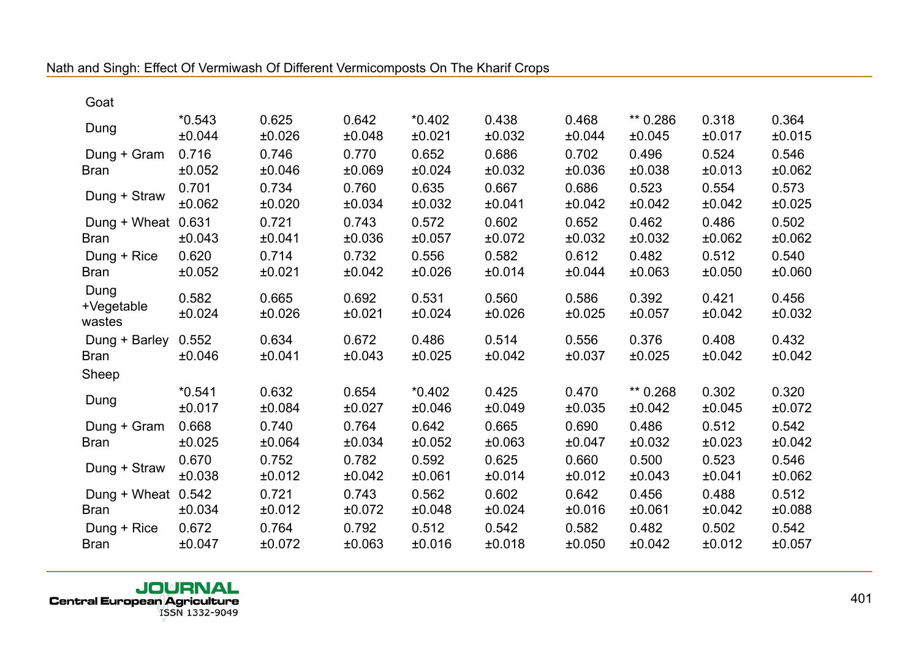| Goat                               |                    |                 |                 |                    |                 |                 |                    |                 |                 |
|------------------------------------|--------------------|-----------------|-----------------|--------------------|-----------------|-----------------|--------------------|-----------------|-----------------|
| Dung                               | $*0.543$<br>±0.044 | 0.625<br>±0.026 | 0.642<br>±0.048 | $*0.402$<br>±0.021 | 0.438<br>±0.032 | 0.468<br>±0.044 | ** 0.286<br>±0.045 | 0.318<br>±0.017 | 0.364<br>±0.015 |
| Dung + Gram<br><b>Bran</b>         | 0.716<br>±0.052    | 0.746<br>±0.046 | 0.770<br>±0.069 | 0.652<br>±0.024    | 0.686<br>±0.032 | 0.702<br>±0.036 | 0.496<br>±0.038    | 0.524<br>±0.013 | 0.546<br>±0.062 |
| Dung + Straw                       | 0.701<br>±0.062    | 0.734<br>±0.020 | 0.760<br>±0.034 | 0.635<br>±0.032    | 0.667<br>±0.041 | 0.686<br>±0.042 | 0.523<br>±0.042    | 0.554<br>±0.042 | 0.573<br>±0.025 |
| Dung + Wheat 0.631<br><b>Bran</b>  | ±0.043             | 0.721<br>±0.041 | 0.743<br>±0.036 | 0.572<br>±0.057    | 0.602<br>±0.072 | 0.652<br>±0.032 | 0.462<br>±0.032    | 0.486<br>±0.062 | 0.502<br>±0.062 |
| Dung + Rice<br><b>Bran</b>         | 0.620<br>±0.052    | 0.714<br>±0.021 | 0.732<br>±0.042 | 0.556<br>±0.026    | 0.582<br>±0.014 | 0.612<br>±0.044 | 0.482<br>±0.063    | 0.512<br>±0.050 | 0.540<br>±0.060 |
| Dung<br>+Vegetable<br>wastes       | 0.582<br>±0.024    | 0.665<br>±0.026 | 0.692<br>±0.021 | 0.531<br>±0.024    | 0.560<br>±0.026 | 0.586<br>±0.025 | 0.392<br>±0.057    | 0.421<br>±0.042 | 0.456<br>±0.032 |
| Dung + Barley 0.552<br><b>Bran</b> | ±0.046             | 0.634<br>±0.041 | 0.672<br>±0.043 | 0.486<br>±0.025    | 0.514<br>±0.042 | 0.556<br>±0.037 | 0.376<br>±0.025    | 0.408<br>±0.042 | 0.432<br>±0.042 |
| Sheep                              |                    |                 |                 |                    |                 |                 |                    |                 |                 |
| Dung                               | $*0.541$<br>±0.017 | 0.632<br>±0.084 | 0.654<br>±0.027 | $*0.402$<br>±0.046 | 0.425<br>±0.049 | 0.470<br>±0.035 | ** 0.268<br>±0.042 | 0.302<br>±0.045 | 0.320<br>±0.072 |
| Dung + Gram<br><b>Bran</b>         | 0.668<br>±0.025    | 0.740<br>±0.064 | 0.764<br>±0.034 | 0.642<br>±0.052    | 0.665<br>±0.063 | 0.690<br>±0.047 | 0.486<br>±0.032    | 0.512<br>±0.023 | 0.542<br>±0.042 |
| Dung + Straw                       | 0.670<br>±0.038    | 0.752<br>±0.012 | 0.782<br>±0.042 | 0.592<br>±0.061    | 0.625<br>±0.014 | 0.660<br>±0.012 | 0.500<br>±0.043    | 0.523<br>±0.041 | 0.546<br>±0.062 |
| Dung + Wheat 0.542<br><b>Bran</b>  | ±0.034             | 0.721<br>±0.012 | 0.743<br>±0.072 | 0.562<br>±0.048    | 0.602<br>±0.024 | 0.642<br>±0.016 | 0.456<br>±0.061    | 0.488<br>±0.042 | 0.512<br>±0.088 |
| Dung + Rice<br><b>Bran</b>         | 0.672<br>±0.047    | 0.764<br>±0.072 | 0.792<br>±0.063 | 0.512<br>±0.016    | 0.542<br>±0.018 | 0.582<br>±0.050 | 0.482<br>±0.042    | 0.502<br>±0.012 | 0.542<br>±0.057 |
|                                    |                    |                 |                 |                    |                 |                 |                    |                 |                 |